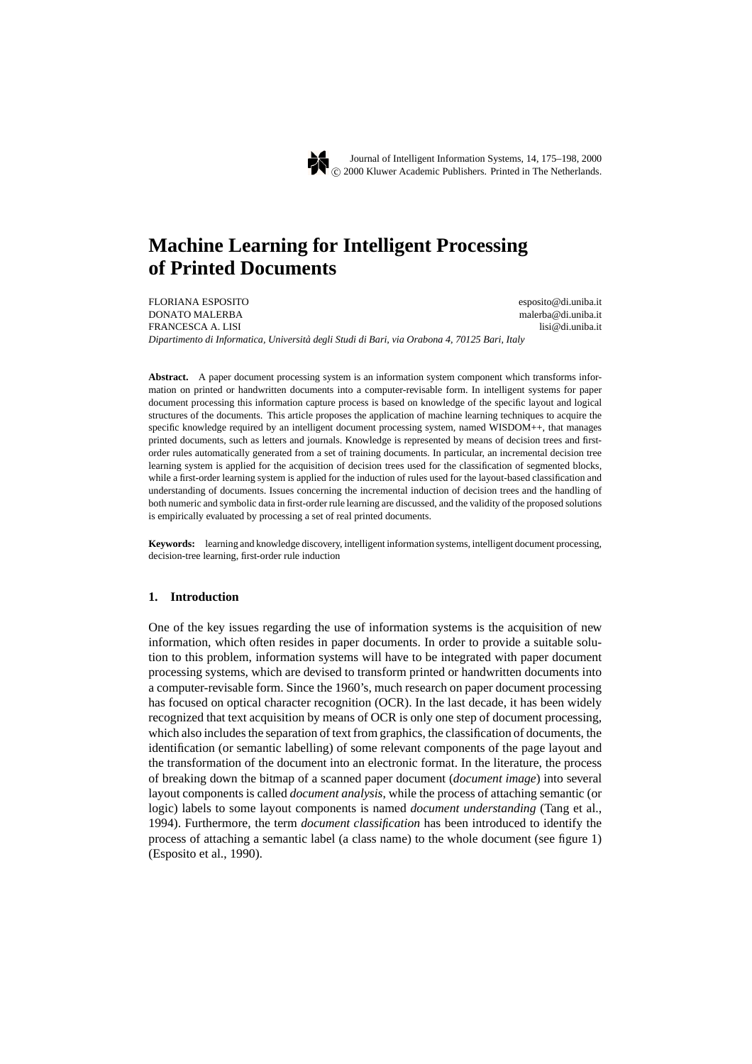Journal of Intelligent Information Systems, 14, 175–198, 2000  $\circled{c}$  2000 Kluwer Academic Publishers. Printed in The Netherlands.

# **Machine Learning for Intelligent Processing of Printed Documents**

FLORIANA ESPOSITO esposito@di.uniba.it DONATO MALERBA malerba@di.uniba.it FRANCESCA A. LISI lisi@di.uniba.it *Dipartimento di Informatica, Universita degli Studi di Bari, via Orabona 4, 70125 Bari, Italy `*

**Abstract.** A paper document processing system is an information system component which transforms information on printed or handwritten documents into a computer-revisable form. In intelligent systems for paper document processing this information capture process is based on knowledge of the specific layout and logical structures of the documents. This article proposes the application of machine learning techniques to acquire the specific knowledge required by an intelligent document processing system, named WISDOM++, that manages printed documents, such as letters and journals. Knowledge is represented by means of decision trees and firstorder rules automatically generated from a set of training documents. In particular, an incremental decision tree learning system is applied for the acquisition of decision trees used for the classification of segmented blocks, while a first-order learning system is applied for the induction of rules used for the layout-based classification and understanding of documents. Issues concerning the incremental induction of decision trees and the handling of both numeric and symbolic data in first-order rule learning are discussed, and the validity of the proposed solutions is empirically evaluated by processing a set of real printed documents.

**Keywords:** learning and knowledge discovery, intelligent information systems, intelligent document processing, decision-tree learning, first-order rule induction

# **1. Introduction**

One of the key issues regarding the use of information systems is the acquisition of new information, which often resides in paper documents. In order to provide a suitable solution to this problem, information systems will have to be integrated with paper document processing systems, which are devised to transform printed or handwritten documents into a computer-revisable form. Since the 1960's, much research on paper document processing has focused on optical character recognition (OCR). In the last decade, it has been widely recognized that text acquisition by means of OCR is only one step of document processing, which also includes the separation of text from graphics, the classification of documents, the identification (or semantic labelling) of some relevant components of the page layout and the transformation of the document into an electronic format. In the literature, the process of breaking down the bitmap of a scanned paper document (*document image*) into several layout components is called *document analysis*, while the process of attaching semantic (or logic) labels to some layout components is named *document understanding* (Tang et al., 1994). Furthermore, the term *document classification* has been introduced to identify the process of attaching a semantic label (a class name) to the whole document (see figure 1) (Esposito et al., 1990).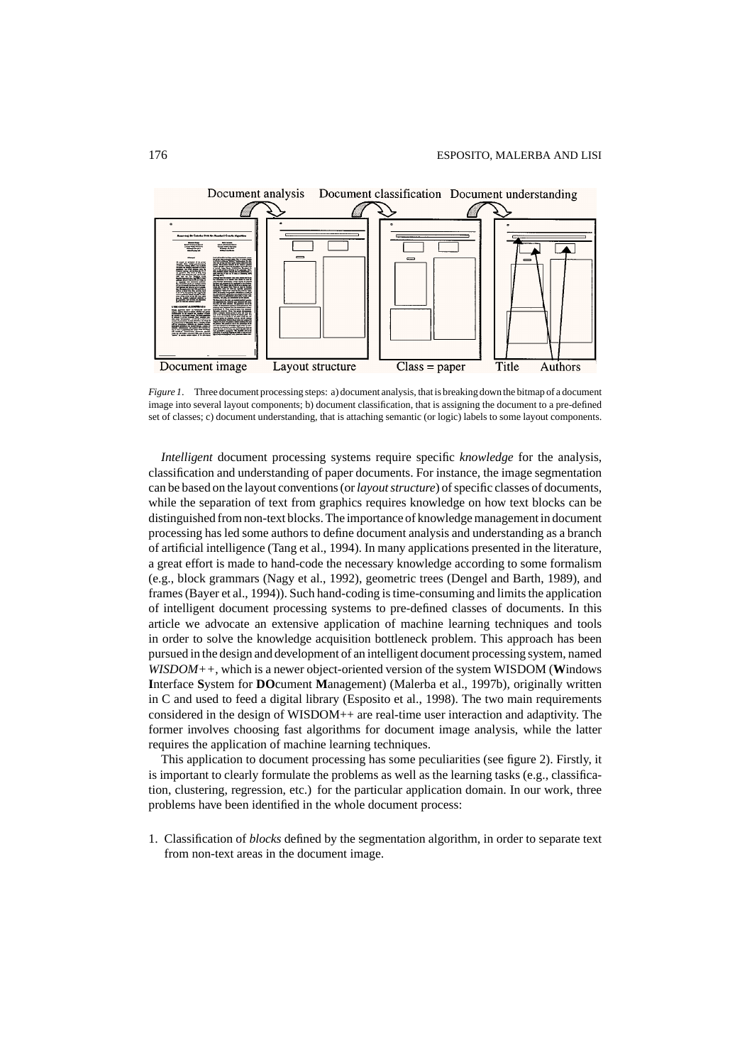

*Figure 1*. Three document processing steps: a) document analysis, that is breaking down the bitmap of a document image into several layout components; b) document classification, that is assigning the document to a pre-defined set of classes; c) document understanding, that is attaching semantic (or logic) labels to some layout components.

*Intelligent* document processing systems require specific *knowledge* for the analysis, classification and understanding of paper documents. For instance, the image segmentation can be based on the layout conventions (or*layout structure*) of specific classes of documents, while the separation of text from graphics requires knowledge on how text blocks can be distinguished from non-text blocks. The importance of knowledge management in document processing has led some authors to define document analysis and understanding as a branch of artificial intelligence (Tang et al., 1994). In many applications presented in the literature, a great effort is made to hand-code the necessary knowledge according to some formalism (e.g., block grammars (Nagy et al., 1992), geometric trees (Dengel and Barth, 1989), and frames (Bayer et al., 1994)). Such hand-coding is time-consuming and limits the application of intelligent document processing systems to pre-defined classes of documents. In this article we advocate an extensive application of machine learning techniques and tools in order to solve the knowledge acquisition bottleneck problem. This approach has been pursued in the design and development of an intelligent document processing system, named *WISDOM++*, which is a newer object-oriented version of the system WISDOM (**W**indows **I**nterface **S**ystem for **DO**cument **M**anagement) (Malerba et al., 1997b), originally written in C and used to feed a digital library (Esposito et al., 1998). The two main requirements considered in the design of WISDOM++ are real-time user interaction and adaptivity. The former involves choosing fast algorithms for document image analysis, while the latter requires the application of machine learning techniques.

This application to document processing has some peculiarities (see figure 2). Firstly, it is important to clearly formulate the problems as well as the learning tasks (e.g., classification, clustering, regression, etc.) for the particular application domain. In our work, three problems have been identified in the whole document process:

1. Classification of *blocks* defined by the segmentation algorithm, in order to separate text from non-text areas in the document image.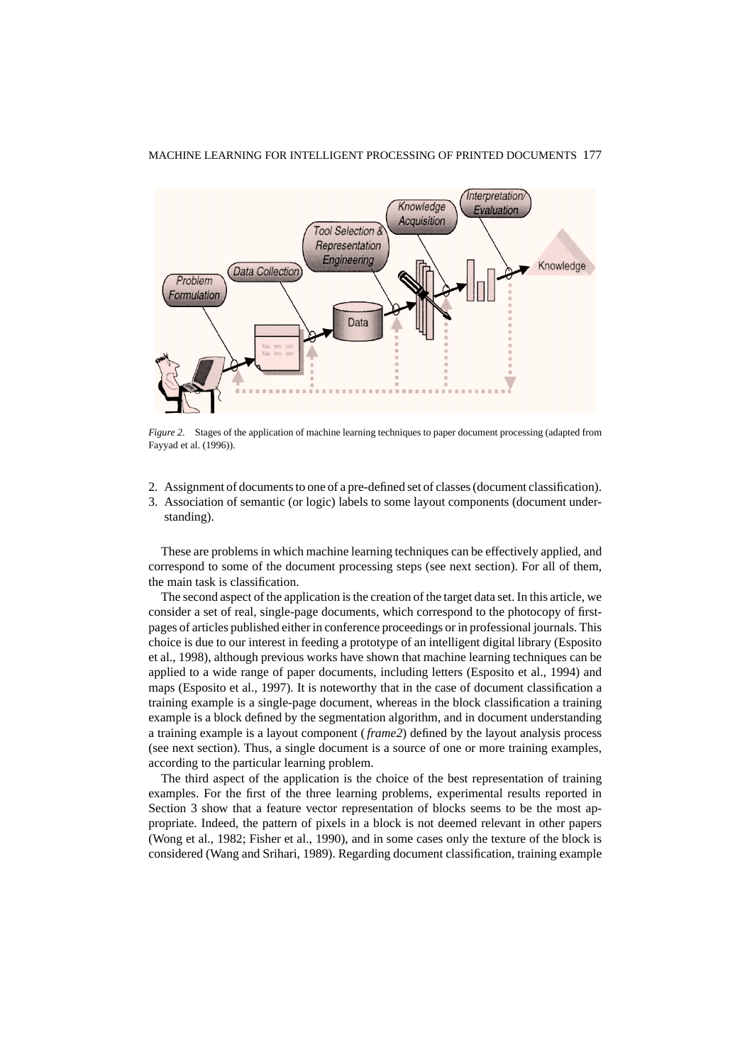

*Figure 2*. Stages of the application of machine learning techniques to paper document processing (adapted from Fayyad et al. (1996)).

- 2. Assignment of documents to one of a pre-defined set of classes (document classification).
- 3. Association of semantic (or logic) labels to some layout components (document understanding).

These are problems in which machine learning techniques can be effectively applied, and correspond to some of the document processing steps (see next section). For all of them, the main task is classification.

The second aspect of the application is the creation of the target data set. In this article, we consider a set of real, single-page documents, which correspond to the photocopy of firstpages of articles published either in conference proceedings or in professional journals. This choice is due to our interest in feeding a prototype of an intelligent digital library (Esposito et al., 1998), although previous works have shown that machine learning techniques can be applied to a wide range of paper documents, including letters (Esposito et al., 1994) and maps (Esposito et al., 1997). It is noteworthy that in the case of document classification a training example is a single-page document, whereas in the block classification a training example is a block defined by the segmentation algorithm, and in document understanding a training example is a layout component (*frame2*) defined by the layout analysis process (see next section). Thus, a single document is a source of one or more training examples, according to the particular learning problem.

The third aspect of the application is the choice of the best representation of training examples. For the first of the three learning problems, experimental results reported in Section 3 show that a feature vector representation of blocks seems to be the most appropriate. Indeed, the pattern of pixels in a block is not deemed relevant in other papers (Wong et al., 1982; Fisher et al., 1990), and in some cases only the texture of the block is considered (Wang and Srihari, 1989). Regarding document classification, training example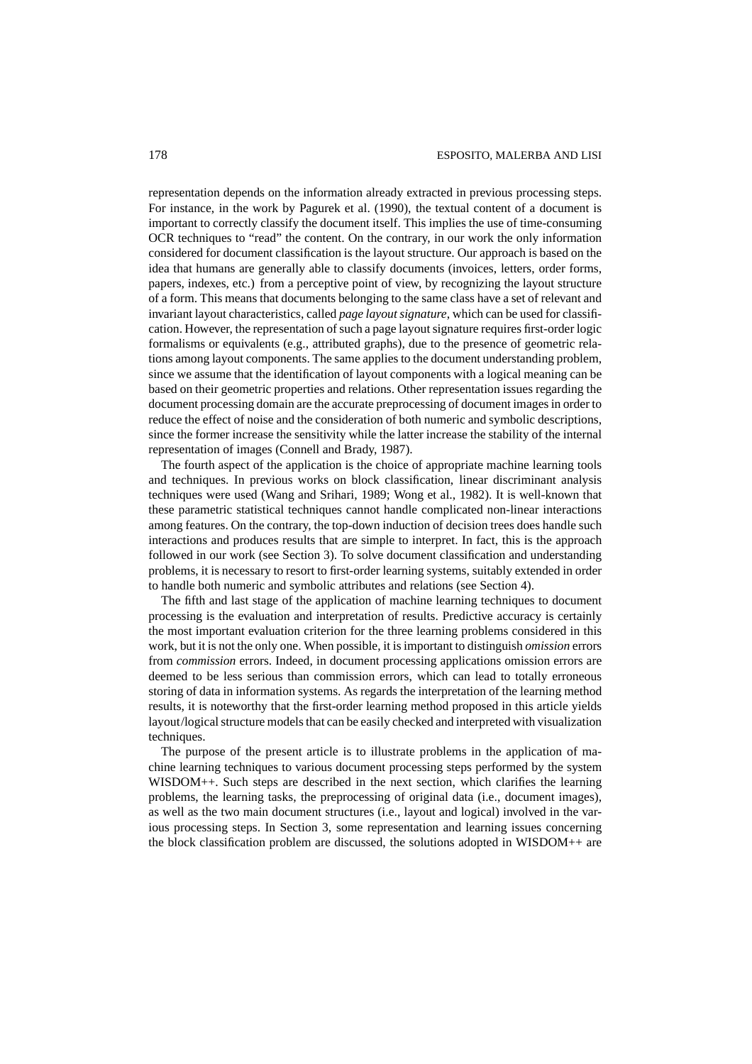representation depends on the information already extracted in previous processing steps. For instance, in the work by Pagurek et al. (1990), the textual content of a document is important to correctly classify the document itself. This implies the use of time-consuming OCR techniques to "read" the content. On the contrary, in our work the only information considered for document classification is the layout structure. Our approach is based on the idea that humans are generally able to classify documents (invoices, letters, order forms, papers, indexes, etc.) from a perceptive point of view, by recognizing the layout structure of a form. This means that documents belonging to the same class have a set of relevant and invariant layout characteristics, called *page layout signature*, which can be used for classification. However, the representation of such a page layout signature requires first-order logic formalisms or equivalents (e.g., attributed graphs), due to the presence of geometric relations among layout components. The same applies to the document understanding problem, since we assume that the identification of layout components with a logical meaning can be based on their geometric properties and relations. Other representation issues regarding the document processing domain are the accurate preprocessing of document images in order to reduce the effect of noise and the consideration of both numeric and symbolic descriptions, since the former increase the sensitivity while the latter increase the stability of the internal representation of images (Connell and Brady, 1987).

The fourth aspect of the application is the choice of appropriate machine learning tools and techniques. In previous works on block classification, linear discriminant analysis techniques were used (Wang and Srihari, 1989; Wong et al., 1982). It is well-known that these parametric statistical techniques cannot handle complicated non-linear interactions among features. On the contrary, the top-down induction of decision trees does handle such interactions and produces results that are simple to interpret. In fact, this is the approach followed in our work (see Section 3). To solve document classification and understanding problems, it is necessary to resort to first-order learning systems, suitably extended in order to handle both numeric and symbolic attributes and relations (see Section 4).

The fifth and last stage of the application of machine learning techniques to document processing is the evaluation and interpretation of results. Predictive accuracy is certainly the most important evaluation criterion for the three learning problems considered in this work, but it is not the only one. When possible, it is important to distinguish *omission* errors from *commission* errors. Indeed, in document processing applications omission errors are deemed to be less serious than commission errors, which can lead to totally erroneous storing of data in information systems. As regards the interpretation of the learning method results, it is noteworthy that the first-order learning method proposed in this article yields layout/logical structure models that can be easily checked and interpreted with visualization techniques.

The purpose of the present article is to illustrate problems in the application of machine learning techniques to various document processing steps performed by the system WISDOM<sub>++</sub>. Such steps are described in the next section, which clarifies the learning problems, the learning tasks, the preprocessing of original data (i.e., document images), as well as the two main document structures (i.e., layout and logical) involved in the various processing steps. In Section 3, some representation and learning issues concerning the block classification problem are discussed, the solutions adopted in WISDOM++ are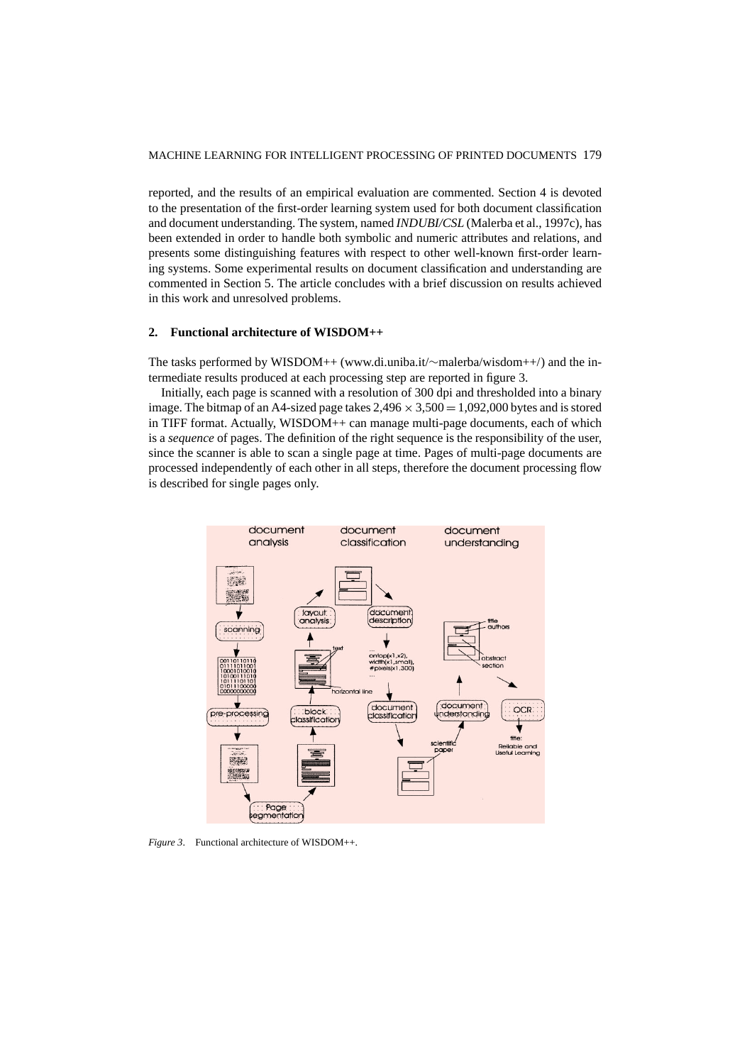reported, and the results of an empirical evaluation are commented. Section 4 is devoted to the presentation of the first-order learning system used for both document classification and document understanding. The system, named *INDUBI/CSL* (Malerba et al., 1997c), has been extended in order to handle both symbolic and numeric attributes and relations, and presents some distinguishing features with respect to other well-known first-order learning systems. Some experimental results on document classification and understanding are commented in Section 5. The article concludes with a brief discussion on results achieved in this work and unresolved problems.

# **2. Functional architecture of WISDOM++**

The tasks performed by WISDOM++ (www.di.uniba.it/∼malerba/wisdom++/) and the intermediate results produced at each processing step are reported in figure 3.

Initially, each page is scanned with a resolution of 300 dpi and thresholded into a binary image. The bitmap of an A4-sized page takes  $2,496 \times 3,500 = 1,092,000$  bytes and is stored in TIFF format. Actually, WISDOM++ can manage multi-page documents, each of which is a *sequence* of pages. The definition of the right sequence is the responsibility of the user, since the scanner is able to scan a single page at time. Pages of multi-page documents are processed independently of each other in all steps, therefore the document processing flow is described for single pages only.



*Figure 3*. Functional architecture of WISDOM++.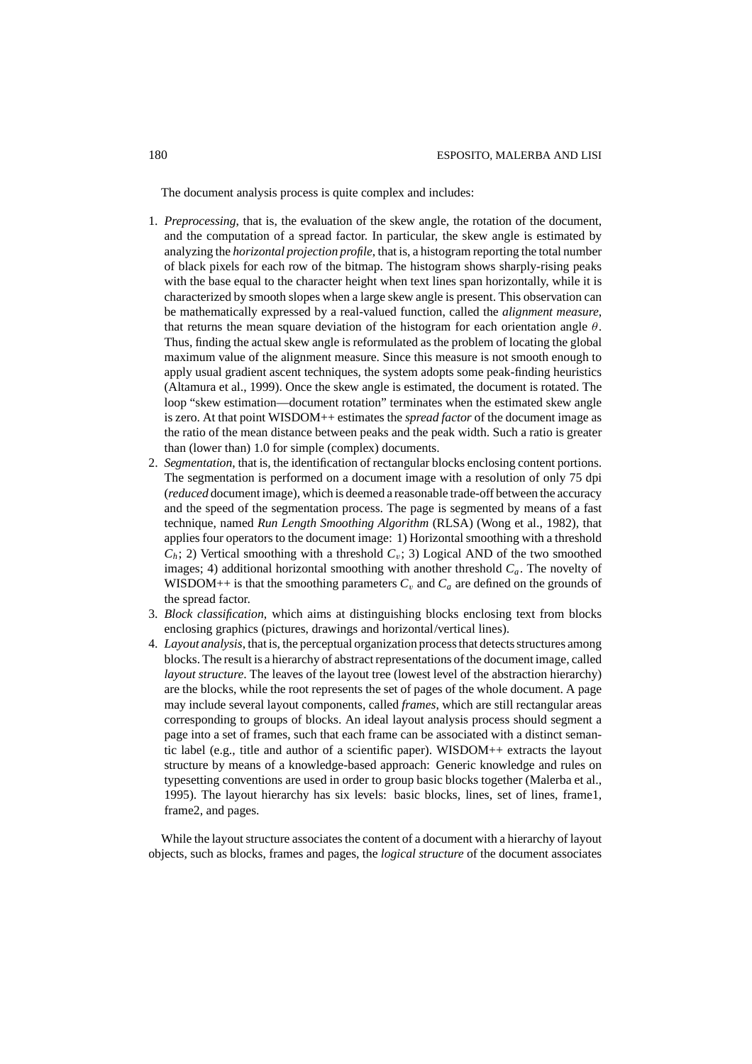The document analysis process is quite complex and includes:

- 1. *Preprocessing*, that is, the evaluation of the skew angle, the rotation of the document, and the computation of a spread factor. In particular, the skew angle is estimated by analyzing the *horizontal projection profile*, that is, a histogram reporting the total number of black pixels for each row of the bitmap. The histogram shows sharply-rising peaks with the base equal to the character height when text lines span horizontally, while it is characterized by smooth slopes when a large skew angle is present. This observation can be mathematically expressed by a real-valued function, called the *alignment measure*, that returns the mean square deviation of the histogram for each orientation angle  $\theta$ . Thus, finding the actual skew angle is reformulated as the problem of locating the global maximum value of the alignment measure. Since this measure is not smooth enough to apply usual gradient ascent techniques, the system adopts some peak-finding heuristics (Altamura et al., 1999). Once the skew angle is estimated, the document is rotated. The loop "skew estimation—document rotation" terminates when the estimated skew angle is zero. At that point WISDOM++ estimates the *spread factor* of the document image as the ratio of the mean distance between peaks and the peak width. Such a ratio is greater than (lower than) 1.0 for simple (complex) documents.
- 2. *Segmentation*, that is, the identification of rectangular blocks enclosing content portions. The segmentation is performed on a document image with a resolution of only 75 dpi (*reduced* document image), which is deemed a reasonable trade-off between the accuracy and the speed of the segmentation process. The page is segmented by means of a fast technique, named *Run Length Smoothing Algorithm* (RLSA) (Wong et al., 1982), that applies four operators to the document image: 1) Horizontal smoothing with a threshold  $C_h$ ; 2) Vertical smoothing with a threshold  $C_v$ ; 3) Logical AND of the two smoothed images; 4) additional horizontal smoothing with another threshold *Ca*. The novelty of WISDOM++ is that the smoothing parameters  $C_v$  and  $C_a$  are defined on the grounds of the spread factor.
- 3. *Block classification*, which aims at distinguishing blocks enclosing text from blocks enclosing graphics (pictures, drawings and horizontal/vertical lines).
- 4. *Layout analysis*, that is, the perceptual organization process that detects structures among blocks. The result is a hierarchy of abstract representations of the document image, called *layout structure*. The leaves of the layout tree (lowest level of the abstraction hierarchy) are the blocks, while the root represents the set of pages of the whole document. A page may include several layout components, called *frames*, which are still rectangular areas corresponding to groups of blocks. An ideal layout analysis process should segment a page into a set of frames, such that each frame can be associated with a distinct semantic label (e.g., title and author of a scientific paper). WISDOM++ extracts the layout structure by means of a knowledge-based approach: Generic knowledge and rules on typesetting conventions are used in order to group basic blocks together (Malerba et al., 1995). The layout hierarchy has six levels: basic blocks, lines, set of lines, frame1, frame2, and pages.

While the layout structure associates the content of a document with a hierarchy of layout objects, such as blocks, frames and pages, the *logical structure* of the document associates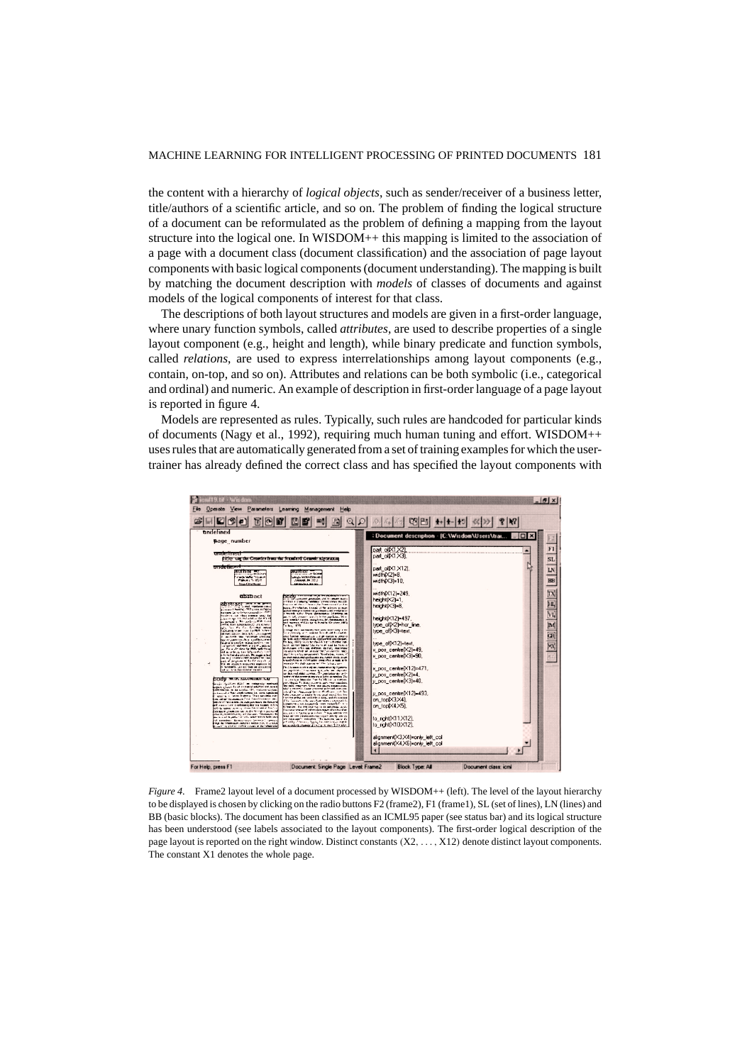the content with a hierarchy of *logical objects*, such as sender/receiver of a business letter, title/authors of a scientific article, and so on. The problem of finding the logical structure of a document can be reformulated as the problem of defining a mapping from the layout structure into the logical one. In WISDOM++ this mapping is limited to the association of a page with a document class (document classification) and the association of page layout components with basic logical components (document understanding). The mapping is built by matching the document description with *models* of classes of documents and against models of the logical components of interest for that class.

The descriptions of both layout structures and models are given in a first-order language, where unary function symbols, called *attributes*, are used to describe properties of a single layout component (e.g., height and length), while binary predicate and function symbols, called *relations*, are used to express interrelationships among layout components (e.g., contain, on-top, and so on). Attributes and relations can be both symbolic (i.e., categorical and ordinal) and numeric. An example of description in first-order language of a page layout is reported in figure 4.

Models are represented as rules. Typically, such rules are handcoded for particular kinds of documents (Nagy et al., 1992), requiring much human tuning and effort. WISDOM++ uses rules that are automatically generated from a set of training examples for which the usertrainer has already defined the correct class and has specified the layout components with



*Figure 4*. Frame2 layout level of a document processed by WISDOM++ (left). The level of the layout hierarchy to be displayed is chosen by clicking on the radio buttons F2 (frame2), F1 (frame1), SL (set of lines), LN (lines) and BB (basic blocks). The document has been classified as an ICML95 paper (see status bar) and its logical structure has been understood (see labels associated to the layout components). The first-order logical description of the page layout is reported on the right window. Distinct constants (X2,..., X12) denote distinct layout components. The constant X1 denotes the whole page.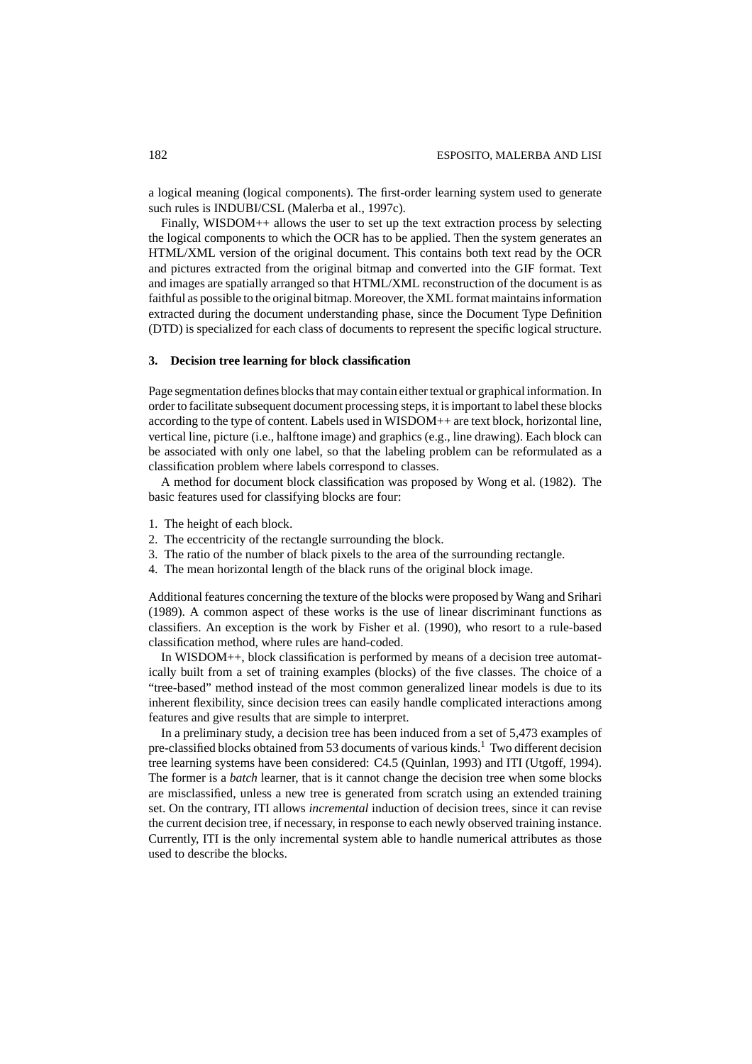a logical meaning (logical components). The first-order learning system used to generate such rules is INDUBI/CSL (Malerba et al., 1997c).

Finally, WISDOM++ allows the user to set up the text extraction process by selecting the logical components to which the OCR has to be applied. Then the system generates an HTML/XML version of the original document. This contains both text read by the OCR and pictures extracted from the original bitmap and converted into the GIF format. Text and images are spatially arranged so that HTML/XML reconstruction of the document is as faithful as possible to the original bitmap. Moreover, the XML format maintains information extracted during the document understanding phase, since the Document Type Definition (DTD) is specialized for each class of documents to represent the specific logical structure.

# **3. Decision tree learning for block classification**

Page segmentation defines blocks that may contain either textual or graphical information. In order to facilitate subsequent document processing steps, it is important to label these blocks according to the type of content. Labels used in WISDOM++ are text block, horizontal line, vertical line, picture (i.e., halftone image) and graphics (e.g., line drawing). Each block can be associated with only one label, so that the labeling problem can be reformulated as a classification problem where labels correspond to classes.

A method for document block classification was proposed by Wong et al. (1982). The basic features used for classifying blocks are four:

- 1. The height of each block.
- 2. The eccentricity of the rectangle surrounding the block.
- 3. The ratio of the number of black pixels to the area of the surrounding rectangle.
- 4. The mean horizontal length of the black runs of the original block image.

Additional features concerning the texture of the blocks were proposed by Wang and Srihari (1989). A common aspect of these works is the use of linear discriminant functions as classifiers. An exception is the work by Fisher et al. (1990), who resort to a rule-based classification method, where rules are hand-coded.

In WISDOM++, block classification is performed by means of a decision tree automatically built from a set of training examples (blocks) of the five classes. The choice of a "tree-based" method instead of the most common generalized linear models is due to its inherent flexibility, since decision trees can easily handle complicated interactions among features and give results that are simple to interpret.

In a preliminary study, a decision tree has been induced from a set of 5,473 examples of pre-classified blocks obtained from 53 documents of various kinds.<sup>1</sup> Two different decision tree learning systems have been considered: C4.5 (Quinlan, 1993) and ITI (Utgoff, 1994). The former is a *batch* learner, that is it cannot change the decision tree when some blocks are misclassified, unless a new tree is generated from scratch using an extended training set. On the contrary, ITI allows *incremental* induction of decision trees, since it can revise the current decision tree, if necessary, in response to each newly observed training instance. Currently, ITI is the only incremental system able to handle numerical attributes as those used to describe the blocks.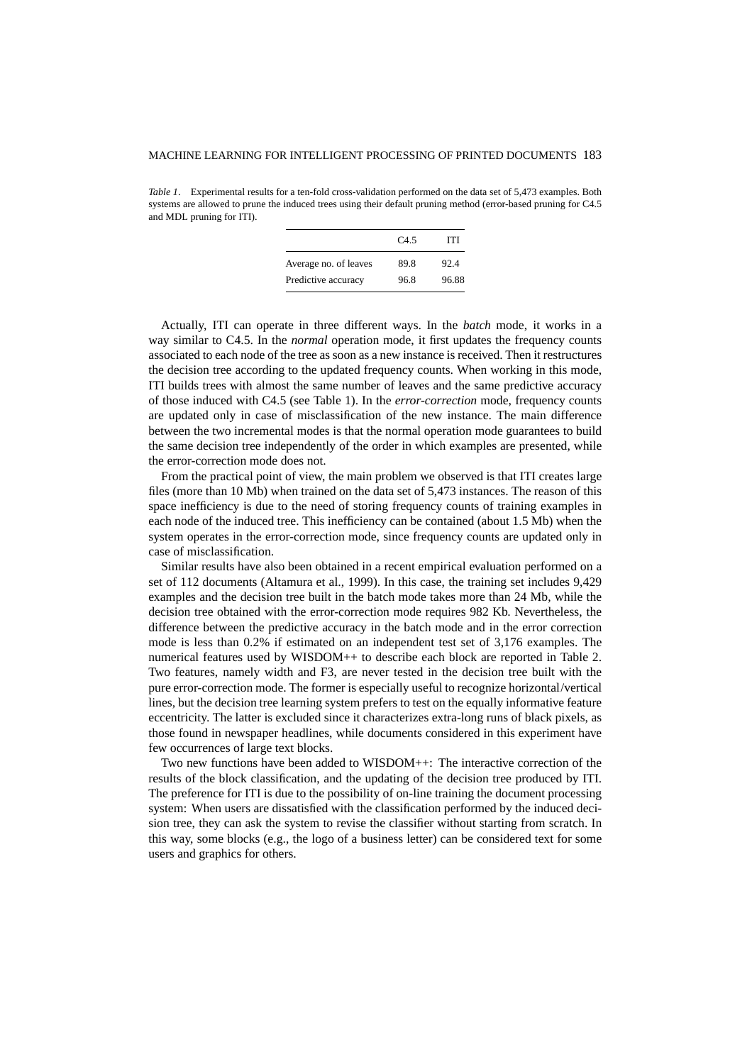*Table 1*. Experimental results for a ten-fold cross-validation performed on the data set of 5,473 examples. Both systems are allowed to prune the induced trees using their default pruning method (error-based pruning for C4.5 and MDL pruning for ITI).

|                       | C <sub>4.5</sub> | ITI   |
|-----------------------|------------------|-------|
| Average no. of leaves | 89.8             | 92.4  |
| Predictive accuracy   | 96.8             | 96.88 |

Actually, ITI can operate in three different ways. In the *batch* mode, it works in a way similar to C4.5. In the *normal* operation mode, it first updates the frequency counts associated to each node of the tree as soon as a new instance is received. Then it restructures the decision tree according to the updated frequency counts. When working in this mode, ITI builds trees with almost the same number of leaves and the same predictive accuracy of those induced with C4.5 (see Table 1). In the *error-correction* mode, frequency counts are updated only in case of misclassification of the new instance. The main difference between the two incremental modes is that the normal operation mode guarantees to build the same decision tree independently of the order in which examples are presented, while the error-correction mode does not.

From the practical point of view, the main problem we observed is that ITI creates large files (more than 10 Mb) when trained on the data set of 5,473 instances. The reason of this space inefficiency is due to the need of storing frequency counts of training examples in each node of the induced tree. This inefficiency can be contained (about 1.5 Mb) when the system operates in the error-correction mode, since frequency counts are updated only in case of misclassification.

Similar results have also been obtained in a recent empirical evaluation performed on a set of 112 documents (Altamura et al., 1999). In this case, the training set includes 9,429 examples and the decision tree built in the batch mode takes more than 24 Mb, while the decision tree obtained with the error-correction mode requires 982 Kb. Nevertheless, the difference between the predictive accuracy in the batch mode and in the error correction mode is less than 0.2% if estimated on an independent test set of 3,176 examples. The numerical features used by WISDOM++ to describe each block are reported in Table 2. Two features, namely width and F3, are never tested in the decision tree built with the pure error-correction mode. The former is especially useful to recognize horizontal/vertical lines, but the decision tree learning system prefers to test on the equally informative feature eccentricity. The latter is excluded since it characterizes extra-long runs of black pixels, as those found in newspaper headlines, while documents considered in this experiment have few occurrences of large text blocks.

Two new functions have been added to WISDOM++: The interactive correction of the results of the block classification, and the updating of the decision tree produced by ITI. The preference for ITI is due to the possibility of on-line training the document processing system: When users are dissatisfied with the classification performed by the induced decision tree, they can ask the system to revise the classifier without starting from scratch. In this way, some blocks (e.g., the logo of a business letter) can be considered text for some users and graphics for others.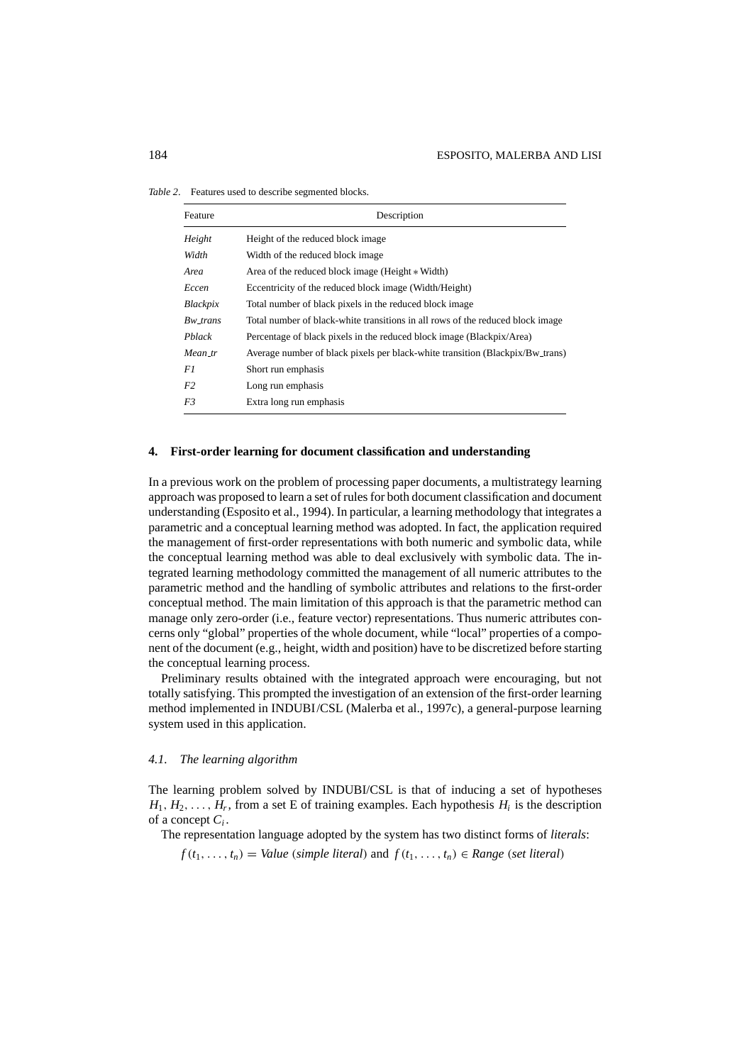| Description                                                                    |  |  |  |  |
|--------------------------------------------------------------------------------|--|--|--|--|
| Height of the reduced block image.                                             |  |  |  |  |
| Width of the reduced block image.                                              |  |  |  |  |
| Area of the reduced block image (Height * Width)                               |  |  |  |  |
| Eccentricity of the reduced block image (Width/Height)                         |  |  |  |  |
| Total number of black pixels in the reduced block image                        |  |  |  |  |
| Total number of black-white transitions in all rows of the reduced block image |  |  |  |  |
| Percentage of black pixels in the reduced block image (Blackpix/Area)          |  |  |  |  |
| Average number of black pixels per black-white transition (Blackpix/Bw_trans)  |  |  |  |  |
| Short run emphasis                                                             |  |  |  |  |
| Long run emphasis                                                              |  |  |  |  |
| Extra long run emphasis                                                        |  |  |  |  |
|                                                                                |  |  |  |  |

*Table 2*. Features used to describe segmented blocks.

# **4. First-order learning for document classification and understanding**

In a previous work on the problem of processing paper documents, a multistrategy learning approach was proposed to learn a set of rules for both document classification and document understanding (Esposito et al., 1994). In particular, a learning methodology that integrates a parametric and a conceptual learning method was adopted. In fact, the application required the management of first-order representations with both numeric and symbolic data, while the conceptual learning method was able to deal exclusively with symbolic data. The integrated learning methodology committed the management of all numeric attributes to the parametric method and the handling of symbolic attributes and relations to the first-order conceptual method. The main limitation of this approach is that the parametric method can manage only zero-order (i.e., feature vector) representations. Thus numeric attributes concerns only "global" properties of the whole document, while "local" properties of a component of the document (e.g., height, width and position) have to be discretized before starting the conceptual learning process.

Preliminary results obtained with the integrated approach were encouraging, but not totally satisfying. This prompted the investigation of an extension of the first-order learning method implemented in INDUBI/CSL (Malerba et al., 1997c), a general-purpose learning system used in this application.

### *4.1. The learning algorithm*

The learning problem solved by INDUBI/CSL is that of inducing a set of hypotheses  $H_1, H_2, \ldots, H_r$ , from a set E of training examples. Each hypothesis  $H_i$  is the description of a concept *Ci* .

The representation language adopted by the system has two distinct forms of *literals*:

 $f(t_1, \ldots, t_n) =$  *Value* (*simple literal*) and  $f(t_1, \ldots, t_n) \in$  *Range* (*set literal*)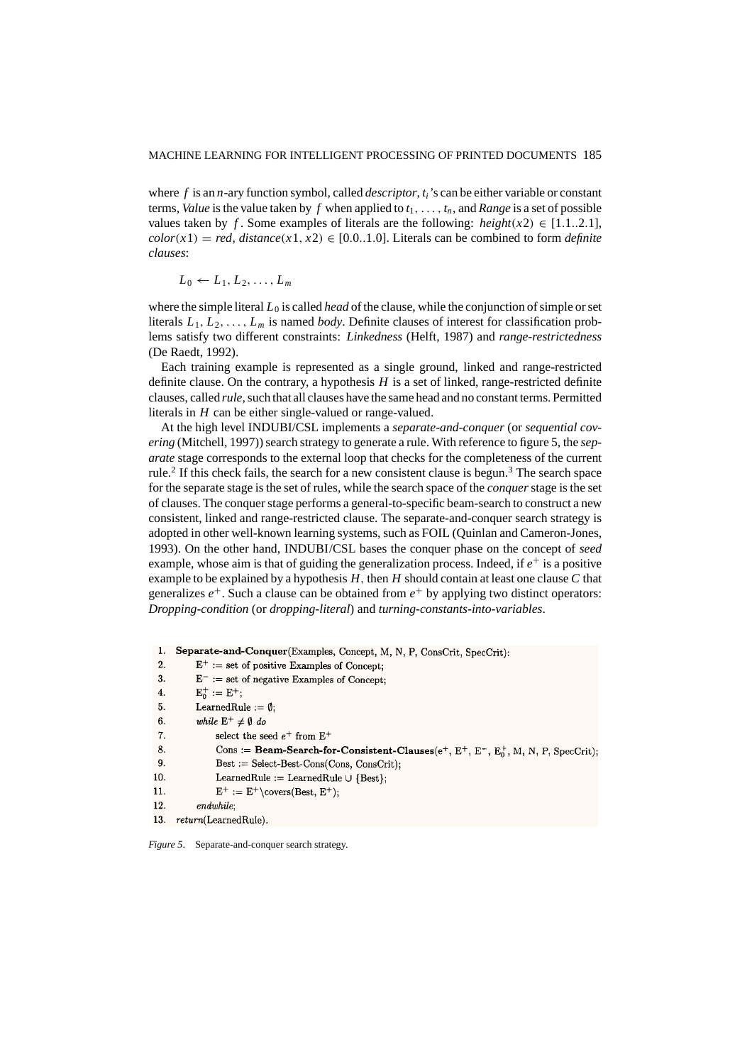where *f* is an *n*-ary function symbol, called *descriptor*, *ti*'s can be either variable or constant terms, *Value* is the value taken by f when applied to  $t_1, \ldots, t_n$ , and *Range* is a set of possible values taken by *f*. Some examples of literals are the following: *height*( $x$ 2)  $\in$  [1.1..2.1],  $color(x1) = red$ ,  $distance(x1, x2) \in [0.0..1.0]$ . Literals can be combined to form *definite clauses*:

 $L_0 \leftarrow L_1, L_2, \ldots, L_m$ 

where the simple literal  $L_0$  is called *head* of the clause, while the conjunction of simple or set literals  $L_1, L_2, \ldots, L_m$  is named *body*. Definite clauses of interest for classification problems satisfy two different constraints: *Linkedness* (Helft, 1987) and *range-restrictedness* (De Raedt, 1992).

Each training example is represented as a single ground, linked and range-restricted definite clause. On the contrary, a hypothesis *H* is a set of linked, range-restricted definite clauses, called *rule*, such that all clauses have the same head and no constant terms. Permitted literals in *H* can be either single-valued or range-valued.

At the high level INDUBI/CSL implements a *separate-and-conquer* (or *sequential covering* (Mitchell, 1997)) search strategy to generate a rule. With reference to figure 5, the *separate* stage corresponds to the external loop that checks for the completeness of the current rule.<sup>2</sup> If this check fails, the search for a new consistent clause is begun.<sup>3</sup> The search space for the separate stage is the set of rules, while the search space of the *conquer*stage is the set of clauses. The conquer stage performs a general-to-specific beam-search to construct a new consistent, linked and range-restricted clause. The separate-and-conquer search strategy is adopted in other well-known learning systems, such as FOIL (Quinlan and Cameron-Jones, 1993). On the other hand, INDUBI/CSL bases the conquer phase on the concept of *seed* example, whose aim is that of guiding the generalization process. Indeed, if  $e^+$  is a positive example to be explained by a hypothesis *H*, then *H* should contain at least one clause *C* that generalizes  $e^+$ . Such a clause can be obtained from  $e^+$  by applying two distinct operators: *Dropping-condition* (or *dropping-literal*) and *turning-constants-into-variables*.

- Separate-and-Conquer(Examples, Concept, M, N, P, ConsCrit, SpecCrit):  $\mathbf{1}$
- $E^+ :=$  set of positive Examples of Concept;  $\overline{2}$
- $E^- :=$  set of negative Examples of Concept;  $3.$
- $\overline{4}$ .  $E_0^+ := E^+;$
- 5. LearnedRule :=  $\emptyset$ ;
- $6.$ while  $E^+ \neq \emptyset$  do
- 7. select the seed  $e^+$  from  $E^+$
- 8. Cons := Beam-Search-for-Consistent-Clauses(e<sup>+</sup>, E<sup>+</sup>, E<sup>-</sup>, E<sub>0</sub><sup>+</sup>, M, N, P, SpecCrit);
- 9.  $Best := Select-Best-Cons(Cons, ConsCrit);$
- $10.$ LearnedRule := LearnedRule  $\cup$  {Best};
- 11.  $E^+ := E^+ \overline{Best}$  (Best,  $E^+$ );
- 12.  $endwhile;$
- 13. return(LearnedRule).

*Figure 5.* Separate-and-conquer search strategy.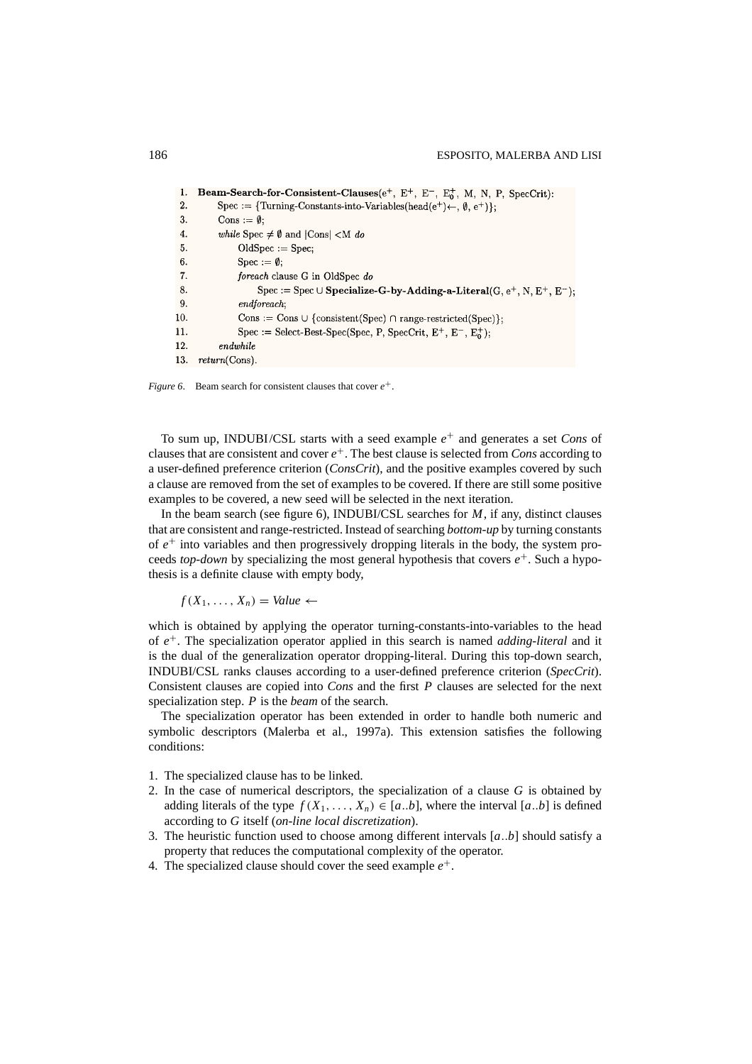| 1.  | <b>Beam-Search-for-Consistent-Clauses</b> ( $e^+$ , $E^+$ , $E^-$ , $E_0^+$ , M, N, P, SpecCrit):            |
|-----|--------------------------------------------------------------------------------------------------------------|
| 2.  | $\text{Spec} := \{ \text{Turning-Constants-into-Variables}(\text{head}(e^+) \leftarrow, \emptyset, e^+) \};$ |
| 3.  | $Cons := \emptyset$ :                                                                                        |
| 4.  | while Spec $\neq \emptyset$ and $ Cons  < M$ do                                                              |
| 5.  | $OldSpec := Spec$                                                                                            |
| 6.  | $\text{Spec} := \emptyset$ :                                                                                 |
| 7.  | foreach clause G in OldSpec do                                                                               |
| 8.  | $Spec := Spec \cup Specialize-G-by-Adding-a-Literal(G, e^+, N, E^+, E^-);$                                   |
| 9.  | endforeach.                                                                                                  |
| 10. | Cons := Cons $\cup$ {consistent(Spec) $\cap$ range-restricted(Spec)};                                        |
| 11. | Spec := Select-Best-Spec(Spec, P, SpecCrit, $E^+$ , $E^-$ , $E^+$ );                                         |
| 12. | end while                                                                                                    |
| 13. | <i>return</i> (Cons).                                                                                        |

*Figure 6.* Beam search for consistent clauses that cover  $e^+$ .

To sum up, INDUBI/CSL starts with a seed example *e*<sup>+</sup> and generates a set *Cons* of clauses that are consistent and cover *e*+. The best clause is selected from *Cons* according to a user-defined preference criterion (*ConsCrit*), and the positive examples covered by such a clause are removed from the set of examples to be covered. If there are still some positive examples to be covered, a new seed will be selected in the next iteration.

In the beam search (see figure 6), INDUBI/CSL searches for *M*, if any, distinct clauses that are consistent and range-restricted. Instead of searching *bottom-up* by turning constants of  $e^+$  into variables and then progressively dropping literals in the body, the system proceeds *top-down* by specializing the most general hypothesis that covers  $e^+$ . Such a hypothesis is a definite clause with empty body,

$$
f(X_1,\ldots,X_n)=Value \leftarrow
$$

which is obtained by applying the operator turning-constants-into-variables to the head of *e*+. The specialization operator applied in this search is named *adding-literal* and it is the dual of the generalization operator dropping-literal. During this top-down search, INDUBI/CSL ranks clauses according to a user-defined preference criterion (*SpecCrit*). Consistent clauses are copied into *Cons* and the first *P* clauses are selected for the next specialization step. *P* is the *beam* of the search.

The specialization operator has been extended in order to handle both numeric and symbolic descriptors (Malerba et al., 1997a). This extension satisfies the following conditions:

- 1. The specialized clause has to be linked.
- 2. In the case of numerical descriptors, the specialization of a clause *G* is obtained by adding literals of the type  $f(X_1, \ldots, X_n) \in [a,b]$ , where the interval  $[a,b]$  is defined according to *G* itself (*on-line local discretization*).
- 3. The heuristic function used to choose among different intervals [*a*..*b*] should satisfy a property that reduces the computational complexity of the operator.
- 4. The specialized clause should cover the seed example  $e^+$ .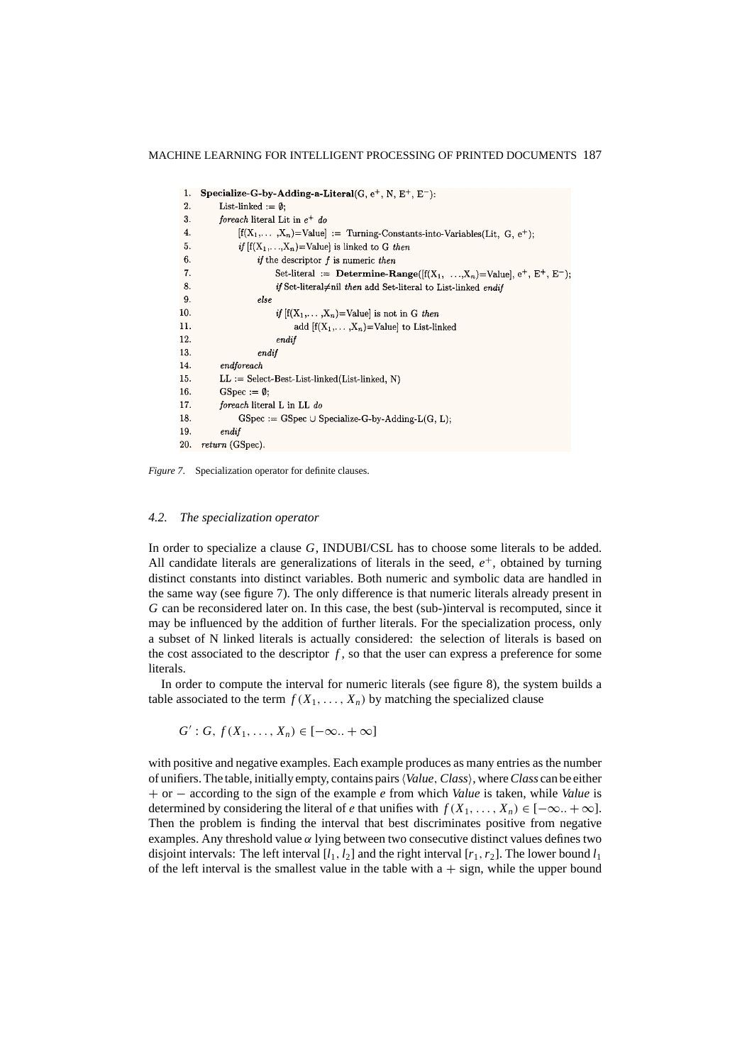#### MACHINE LEARNING FOR INTELLIGENT PROCESSING OF PRINTED DOCUMENTS 187

| 1.  | <b>Specialize-G-by-Adding-a-Literal</b> (G, $e^+$ , N, $E^+$ , $E^-$ ):                     |
|-----|---------------------------------------------------------------------------------------------|
| 2.  | List-linked := $\emptyset$ ;                                                                |
| 3.  | foreach literal Lit in $e^+$ do                                                             |
| 4.  | $[f(X_1, \ldots, X_n)=Value] :=$ Turning-Constants-into-Variables(Lit, G, e <sup>+</sup> ); |
| 5.  | <i>if</i> $[f(X_1,,X_n)=Value]$ is linked to G then                                         |
| 6.  | <i>if</i> the descriptor $f$ is numeric then                                                |
| 7.  | Set-literal := Determine-Range( $[f(X_1, , X_n)=Value], e^+, E^+, E^-);$                    |
| 8.  | <i>if</i> Set-literal≠nil then add Set-literal to List-linked endif                         |
| 9.  | else                                                                                        |
| 10. | if $f(X_1,,X_n)$ =Value is not in G then                                                    |
| 11. | add $[f(X_1, \ldots, X_n)=Value]$ to List-linked                                            |
| 12. | endif                                                                                       |
| 13. | endif                                                                                       |
| 14. | endforeach                                                                                  |
| 15. | $LL := Select-Best-List-linked(List-linked, N)$                                             |
| 16. | $GSpec := \emptyset$                                                                        |
| 17. | foreach literal L in LL do                                                                  |
| 18. | $GSpec := GSpec \cup Specialize-G-by-Adding-L(G, L);$                                       |
| 19. | endif                                                                                       |
| 20. | return (GSpec).                                                                             |

*Figure 7*. Specialization operator for definite clauses.

# *4.2. The specialization operator*

In order to specialize a clause *G*, INDUBI/CSL has to choose some literals to be added. All candidate literals are generalizations of literals in the seed, *e*+, obtained by turning distinct constants into distinct variables. Both numeric and symbolic data are handled in the same way (see figure 7). The only difference is that numeric literals already present in *G* can be reconsidered later on. In this case, the best (sub-)interval is recomputed, since it may be influenced by the addition of further literals. For the specialization process, only a subset of N linked literals is actually considered: the selection of literals is based on the cost associated to the descriptor  $f$ , so that the user can express a preference for some literals.

In order to compute the interval for numeric literals (see figure 8), the system builds a table associated to the term  $f(X_1, \ldots, X_n)$  by matching the specialized clause

$$
G': G, f(X_1, \ldots, X_n) \in [-\infty.. + \infty]
$$

with positive and negative examples. Each example produces as many entries as the number of unifiers. The table, initially empty, contains pairsh*Value*, *Class*i, where*Class* can be either + or − according to the sign of the example *e* from which *Value* is taken, while *Value* is determined by considering the literal of *e* that unifies with  $f(X_1, \ldots, X_n) \in [-\infty, +\infty]$ . Then the problem is finding the interval that best discriminates positive from negative examples. Any threshold value  $\alpha$  lying between two consecutive distinct values defines two disjoint intervals: The left interval  $[l_1, l_2]$  and the right interval  $[r_1, r_2]$ . The lower bound  $l_1$ of the left interval is the smallest value in the table with  $a + sign$ , while the upper bound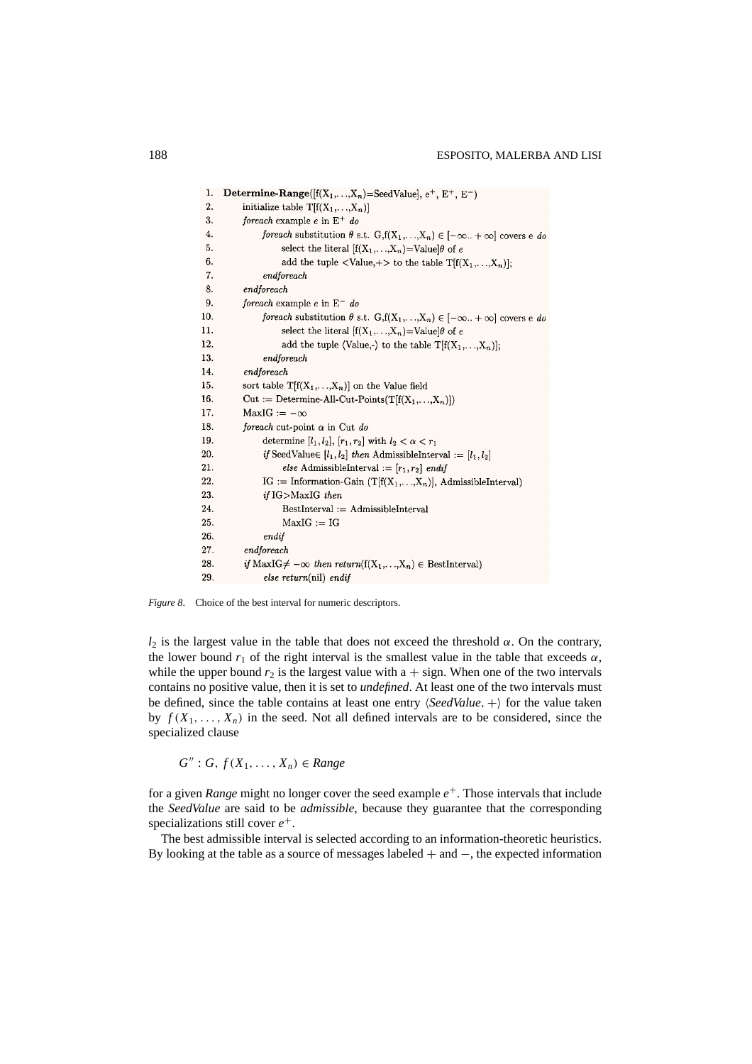| 1.  | Determine-Range( $[f(X_1,,X_n)$ =SeedValue], e <sup>+</sup> , E <sup>+</sup> , E <sup>-</sup> ) |
|-----|-------------------------------------------------------------------------------------------------|
| 2.  | initialize table $T[f(X_1,,X_n)]$                                                               |
| 3.  | <i>foreach</i> example e in $E^+$ do                                                            |
| 4.  | foreach substitution $\theta$ s.t. $G,f(X_1,,X_n) \in [-\infty, +\infty]$ covers e do           |
| 5.  | select the literal $[f(X_1,,X_n)=Value]\theta$ of e                                             |
| 6.  | add the tuple $\langle$ Value,+ $\rangle$ to the table $T[f(X_1,,X_n)]$ ;                       |
| 7.  | endforeach                                                                                      |
| 8.  | endforeach                                                                                      |
| 9.  | foreach example $e$ in $E^-$ do                                                                 |
| 10. | foreach substitution $\theta$ s.t. $G, f(X_1, \ldots, X_n) \in [-\infty + \infty]$ covers e do  |
| 11. | select the literal $[f(X_1,,X_n)]=\text{Value}]\theta$ of $e$                                   |
| 12. | add the tuple $\langle$ Value,- $\rangle$ to the table $T[f(X_1,,X_n)]$ ;                       |
| 13. | endforeach                                                                                      |
| 14. | end for each                                                                                    |
| 15. | sort table $T[f(X_1,,X_n)]$ on the Value field                                                  |
| 16. | Cut := Determine-All-Cut-Points $(T[f(X_1,,X_n)])$                                              |
| 17. | $MaxIG := -\infty$                                                                              |
| 18. | foreach cut-point $\alpha$ in Cut do                                                            |
| 19. | determine $[l_1, l_2], [r_1, r_2]$ with $l_2 < \alpha < r_1$                                    |
| 20. | <i>if</i> SeedValue $[l_1, l_2]$ then AdmissibleInterval $:= [l_1, l_2]$                        |
| 21. | <i>else</i> AdmissibleInterval := $[r_1, r_2]$ <i>endif</i>                                     |
| 22. | $IG := Information-Gain (T[f(X_1,,X_n)],$ AdmissibleInterval)                                   |
| 23. | if IG>MaxIG then                                                                                |
| 24. | $BestInterval := AdmissibleInterval$                                                            |
| 25. | $MaxIG := IG$                                                                                   |
| 26. | endif                                                                                           |
| 27. | end for each                                                                                    |
| 28. | if $MaxIG \neq -\infty$ then return(f(X <sub>1</sub> , ,X <sub>n</sub> ) $\in$ BestInterval)    |
| 29. | else return(nil) endif                                                                          |

*Figure 8*. Choice of the best interval for numeric descriptors.

 $l_2$  is the largest value in the table that does not exceed the threshold  $\alpha$ . On the contrary, the lower bound  $r_1$  of the right interval is the smallest value in the table that exceeds  $\alpha$ , while the upper bound  $r_2$  is the largest value with  $a + sign$ . When one of the two intervals contains no positive value, then it is set to *undefined*. At least one of the two intervals must be defined, since the table contains at least one entry  $\langle \textit{SeedValue}, + \rangle$  for the value taken by  $f(X_1, \ldots, X_n)$  in the seed. Not all defined intervals are to be considered, since the specialized clause

 $G''$  : *G*,  $f(X_1, ..., X_n) \in Range$ 

for a given *Range* might no longer cover the seed example  $e^+$ . Those intervals that include the *SeedValue* are said to be *admissible*, because they guarantee that the corresponding specializations still cover *e*+.

The best admissible interval is selected according to an information-theoretic heuristics. By looking at the table as a source of messages labeled + and −, the expected information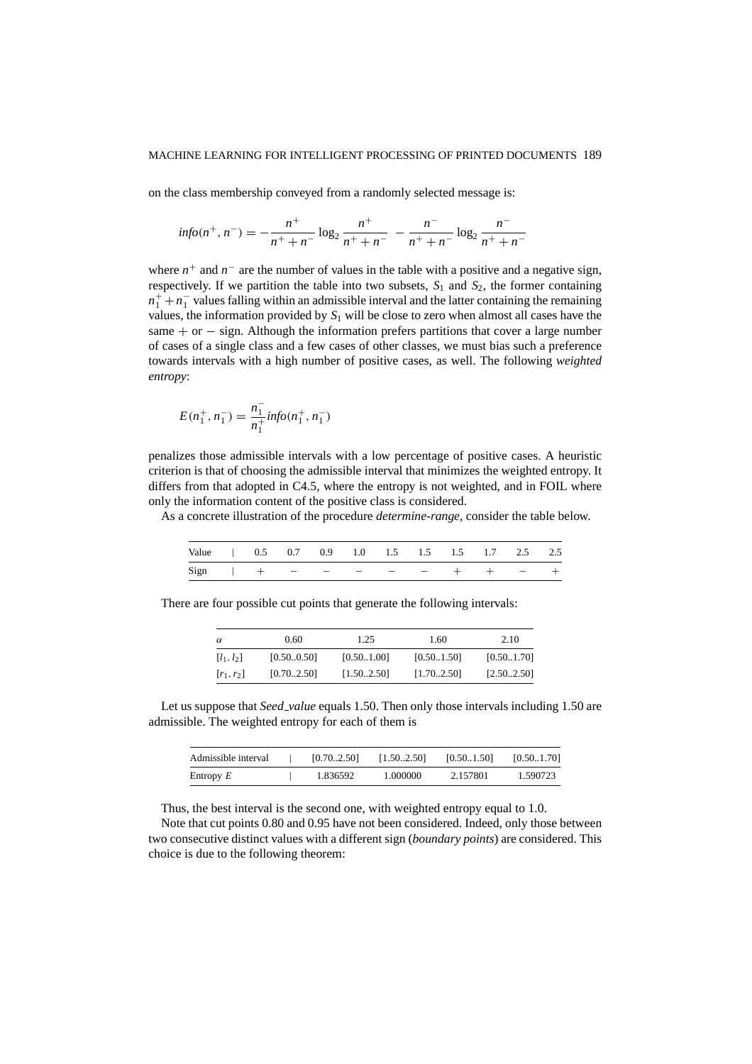on the class membership conveyed from a randomly selected message is:

$$
info(n^{+}, n^{-}) = -\frac{n^{+}}{n^{+} + n^{-}} \log_{2} \frac{n^{+}}{n^{+} + n^{-}} - \frac{n^{-}}{n^{+} + n^{-}} \log_{2} \frac{n^{-}}{n^{+} + n^{-}}
$$

where *n*<sup>+</sup> and *n*<sup>−</sup> are the number of values in the table with a positive and a negative sign, respectively. If we partition the table into two subsets,  $S_1$  and  $S_2$ , the former containing  $n_1^+ + n_1^-$  values falling within an admissible interval and the latter containing the remaining values, the information provided by  $S_1$  will be close to zero when almost all cases have the same  $+$  or  $-$  sign. Although the information prefers partitions that cover a large number of cases of a single class and a few cases of other classes, we must bias such a preference towards intervals with a high number of positive cases, as well. The following *weighted entropy*:

$$
E(n_1^+, n_1^-) = \frac{n_1^-}{n_1^+} \text{info}(n_1^+, n_1^-)
$$

penalizes those admissible intervals with a low percentage of positive cases. A heuristic criterion is that of choosing the admissible interval that minimizes the weighted entropy. It differs from that adopted in C4.5, where the entropy is not weighted, and in FOIL where only the information content of the positive class is considered.

As a concrete illustration of the procedure *determine-range*, consider the table below.

| Value   0.5 0.7 0.9 1.0 1.5 1.5 1.5 1.7 2.5 2.5 |  |  |  |  |  |  |
|-------------------------------------------------|--|--|--|--|--|--|
| Sign   + - - - - - + + - +                      |  |  |  |  |  |  |

There are four possible cut points that generate the following intervals:

| $\alpha$     | 0.60       | 1.25       | 1.60       | 2.10       |
|--------------|------------|------------|------------|------------|
| $[l_1, l_2]$ | [0.500.50] | [0.501.00] | [0.501.50] | [0.501.70] |
| $[r_1, r_2]$ | [0.702.50] | [1.502.50] | [1.702.50] | [2.502.50] |

Let us suppose that *Seed\_value* equals 1.50. Then only those intervals including 1.50 are admissible. The weighted entropy for each of them is

| Admissible interval | [0.702.50] | [1.502.50] | [0.501.50] | [0.501.70] |
|---------------------|------------|------------|------------|------------|
| Entropy $E$         | 1.836592   | 1.000000   | 2.157801   | 1.590723   |

Thus, the best interval is the second one, with weighted entropy equal to 1.0.

Note that cut points 0.80 and 0.95 have not been considered. Indeed, only those between two consecutive distinct values with a different sign (*boundary points*) are considered. This choice is due to the following theorem: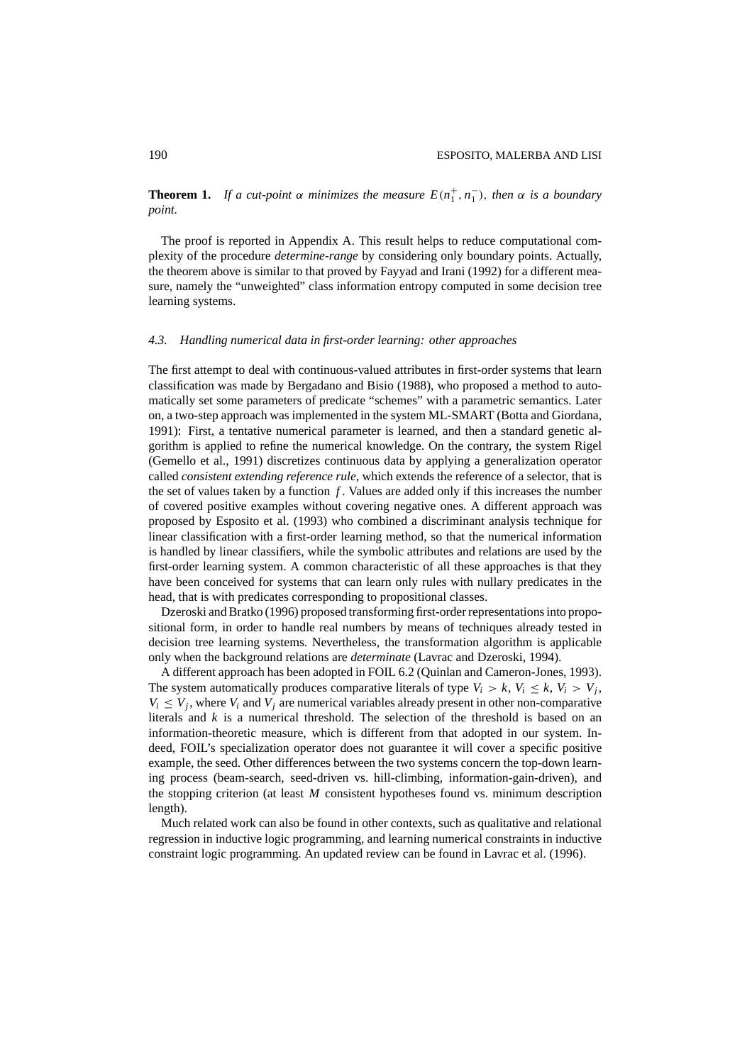# **Theorem 1.** *If a cut-point*  $\alpha$  *minimizes the measure*  $E(n_1^+, n_1^-)$ *, then*  $\alpha$  *is a boundary point.*

The proof is reported in Appendix A. This result helps to reduce computational complexity of the procedure *determine-range* by considering only boundary points. Actually, the theorem above is similar to that proved by Fayyad and Irani (1992) for a different measure, namely the "unweighted" class information entropy computed in some decision tree learning systems.

# *4.3. Handling numerical data in first-order learning: other approaches*

The first attempt to deal with continuous-valued attributes in first-order systems that learn classification was made by Bergadano and Bisio (1988), who proposed a method to automatically set some parameters of predicate "schemes" with a parametric semantics. Later on, a two-step approach was implemented in the system ML-SMART (Botta and Giordana, 1991): First, a tentative numerical parameter is learned, and then a standard genetic algorithm is applied to refine the numerical knowledge. On the contrary, the system Rigel (Gemello et al., 1991) discretizes continuous data by applying a generalization operator called *consistent extending reference rule*, which extends the reference of a selector, that is the set of values taken by a function  $f$ . Values are added only if this increases the number of covered positive examples without covering negative ones. A different approach was proposed by Esposito et al. (1993) who combined a discriminant analysis technique for linear classification with a first-order learning method, so that the numerical information is handled by linear classifiers, while the symbolic attributes and relations are used by the first-order learning system. A common characteristic of all these approaches is that they have been conceived for systems that can learn only rules with nullary predicates in the head, that is with predicates corresponding to propositional classes.

Dzeroski and Bratko (1996) proposed transforming first-order representations into propositional form, in order to handle real numbers by means of techniques already tested in decision tree learning systems. Nevertheless, the transformation algorithm is applicable only when the background relations are *determinate* (Lavrac and Dzeroski, 1994).

A different approach has been adopted in FOIL 6.2 (Quinlan and Cameron-Jones, 1993). The system automatically produces comparative literals of type  $V_i > k$ ,  $V_i \leq k$ ,  $V_i > V_i$ ,  $V_i \leq V_j$ , where  $V_i$  and  $V_j$  are numerical variables already present in other non-comparative literals and *k* is a numerical threshold. The selection of the threshold is based on an information-theoretic measure, which is different from that adopted in our system. Indeed, FOIL's specialization operator does not guarantee it will cover a specific positive example, the seed. Other differences between the two systems concern the top-down learning process (beam-search, seed-driven vs. hill-climbing, information-gain-driven), and the stopping criterion (at least *M* consistent hypotheses found vs. minimum description length).

Much related work can also be found in other contexts, such as qualitative and relational regression in inductive logic programming, and learning numerical constraints in inductive constraint logic programming. An updated review can be found in Lavrac et al. (1996).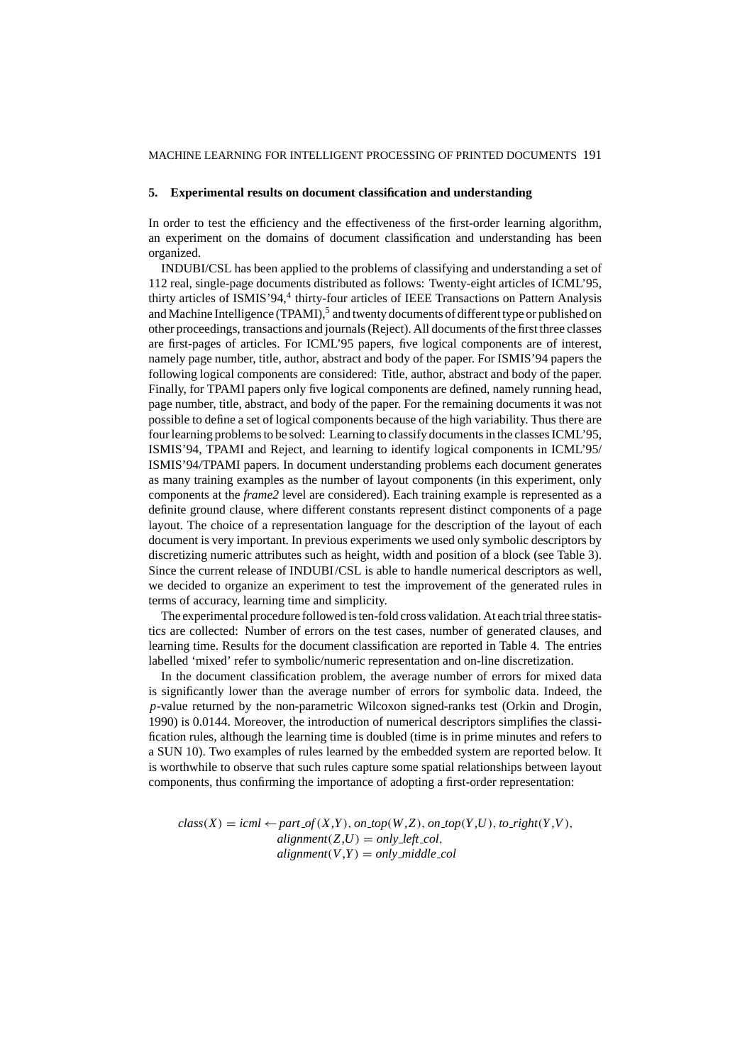#### **5. Experimental results on document classification and understanding**

In order to test the efficiency and the effectiveness of the first-order learning algorithm, an experiment on the domains of document classification and understanding has been organized.

INDUBI/CSL has been applied to the problems of classifying and understanding a set of 112 real, single-page documents distributed as follows: Twenty-eight articles of ICML'95, thirty articles of ISMIS'94,<sup>4</sup> thirty-four articles of IEEE Transactions on Pattern Analysis and Machine Intelligence (TPAMI),<sup>5</sup> and twenty documents of different type or published on other proceedings, transactions and journals (Reject). All documents of the first three classes are first-pages of articles. For ICML'95 papers, five logical components are of interest, namely page number, title, author, abstract and body of the paper. For ISMIS'94 papers the following logical components are considered: Title, author, abstract and body of the paper. Finally, for TPAMI papers only five logical components are defined, namely running head, page number, title, abstract, and body of the paper. For the remaining documents it was not possible to define a set of logical components because of the high variability. Thus there are four learning problems to be solved: Learning to classify documents in the classes ICML'95, ISMIS'94, TPAMI and Reject, and learning to identify logical components in ICML'95/ ISMIS'94/TPAMI papers. In document understanding problems each document generates as many training examples as the number of layout components (in this experiment, only components at the *frame2* level are considered). Each training example is represented as a definite ground clause, where different constants represent distinct components of a page layout. The choice of a representation language for the description of the layout of each document is very important. In previous experiments we used only symbolic descriptors by discretizing numeric attributes such as height, width and position of a block (see Table 3). Since the current release of INDUBI/CSL is able to handle numerical descriptors as well, we decided to organize an experiment to test the improvement of the generated rules in terms of accuracy, learning time and simplicity.

The experimental procedure followed is ten-fold cross validation. At each trial three statistics are collected: Number of errors on the test cases, number of generated clauses, and learning time. Results for the document classification are reported in Table 4. The entries labelled 'mixed' refer to symbolic/numeric representation and on-line discretization.

In the document classification problem, the average number of errors for mixed data is significantly lower than the average number of errors for symbolic data. Indeed, the *p*-value returned by the non-parametric Wilcoxon signed-ranks test (Orkin and Drogin, 1990) is 0.0144. Moreover, the introduction of numerical descriptors simplifies the classification rules, although the learning time is doubled (time is in prime minutes and refers to a SUN 10). Two examples of rules learned by the embedded system are reported below. It is worthwhile to observe that such rules capture some spatial relationships between layout components, thus confirming the importance of adopting a first-order representation:

 $class(X) = i$ *cml*  $\leftarrow$  *part*  $of(X, Y)$ , *on*  $top(W, Z)$ , *on*  $top(Y, U)$ , *to right*(*Y*,*V*),  $alignment(Z, U) = only\_left\_col$ ,  $alignment(V, Y) = only middle$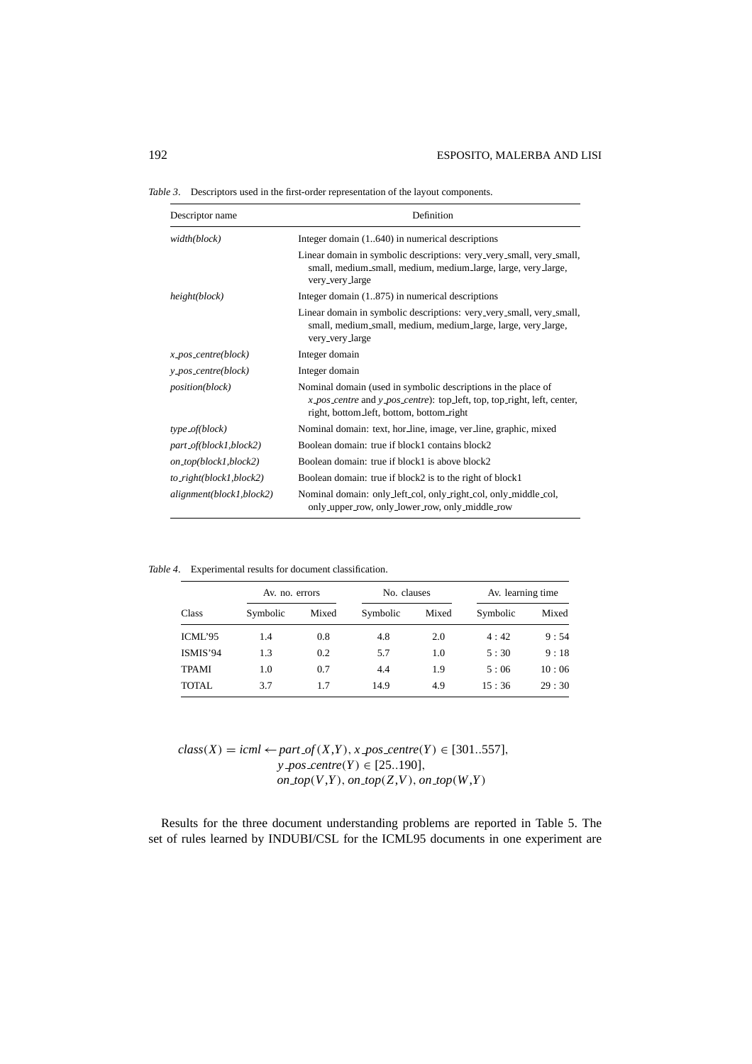*Table 3*. Descriptors used in the first-order representation of the layout components.

| Descriptor name          | Definition                                                                                                                                                                           |
|--------------------------|--------------------------------------------------------------------------------------------------------------------------------------------------------------------------------------|
| width(block)             | Integer domain (1640) in numerical descriptions                                                                                                                                      |
|                          | Linear domain in symbolic descriptions: very_very_small, very_small,<br>small, medium_small, medium, medium_large, large, very_large,<br>very very large                             |
| height(block)            | Integer domain (1875) in numerical descriptions                                                                                                                                      |
|                          | Linear domain in symbolic descriptions: very_very_small, very_small,<br>small, medium_small, medium, medium_large, large, very_large,<br>very very large                             |
| x pos centre(block)      | Integer domain                                                                                                                                                                       |
| y pos centre(block)      | Integer domain                                                                                                                                                                       |
| <i>position(block)</i>   | Nominal domain (used in symbolic descriptions in the place of<br>x pos centre and y pos centre): top left, top, top right, left, center,<br>right, bottom left, bottom, bottom right |
| type_of(block)           | Nominal domain: text, hor line, image, ver line, graphic, mixed                                                                                                                      |
| part_of(block1,block2)   | Boolean domain: true if block1 contains block2                                                                                                                                       |
| on_top(block1,block2)    | Boolean domain: true if block1 is above block2                                                                                                                                       |
| to_right(block1,block2)  | Boolean domain: true if block2 is to the right of block1                                                                                                                             |
| alignment(block1,block2) | Nominal domain: only left col, only right col, only middle col,<br>only upper row, only lower row, only middle row                                                                   |

*Table 4*. Experimental results for document classification.

|              | Av. no. errors |       | No. clauses |       | Av. learning time |       |
|--------------|----------------|-------|-------------|-------|-------------------|-------|
| Class        | Symbolic       | Mixed | Symbolic    | Mixed | Symbolic          | Mixed |
| ICML'95      | 1.4            | 0.8   | 4.8         | 2.0   | 4:42              | 9:54  |
| ISMIS'94     | 1.3            | 0.2   | 5.7         | 1.0   | 5:30              | 9:18  |
| <b>TPAMI</b> | 1.0            | 0.7   | 4.4         | 1.9   | 5:06              | 10:06 |
| <b>TOTAL</b> | 3.7            | 1.7   | 14.9        | 4.9   | 15:36             | 29:30 |

 $class(X) = i$ *cml*  $\leftarrow$  *part\_of*(*X,Y*), *x\_pos\_centre*(*Y*)  $\in$  [301..557], *y pos centre*(*Y* ) ∈ [25..190],  $on\_top(V, Y)$ ,  $on\_top(Z, V)$ ,  $on\_top(W, Y)$ 

Results for the three document understanding problems are reported in Table 5. The set of rules learned by INDUBI/CSL for the ICML95 documents in one experiment are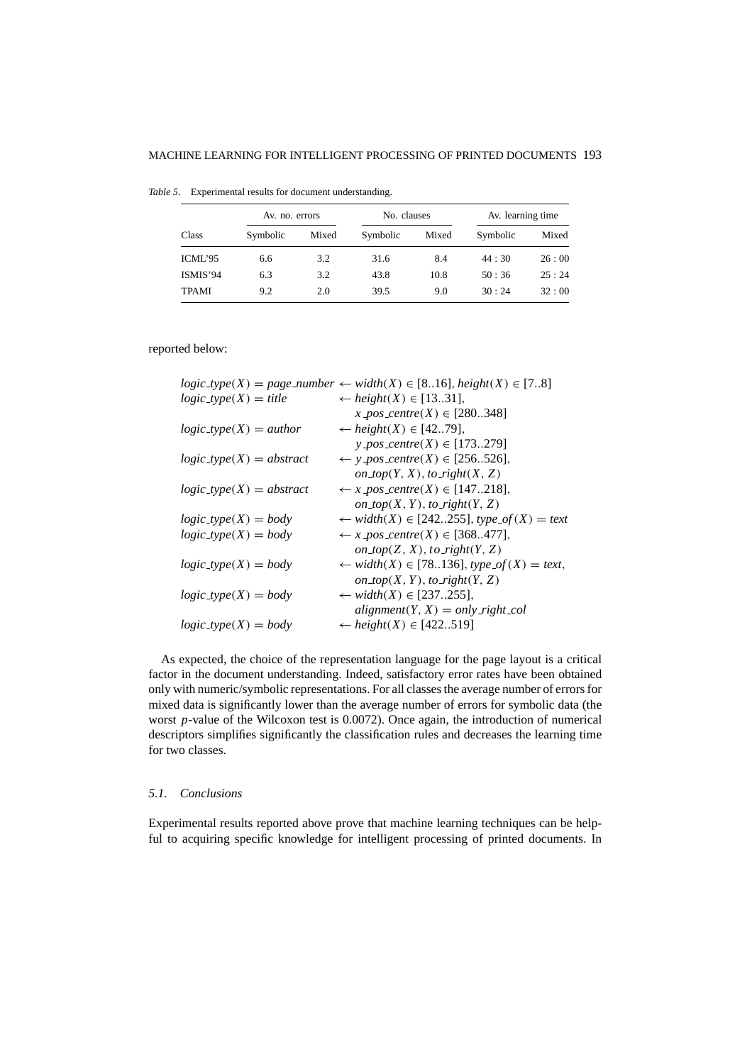*Table 5*. Experimental results for document understanding.

|              | Av. no. errors |       | No. clauses |       | Av. learning time |       |
|--------------|----------------|-------|-------------|-------|-------------------|-------|
| Class        | Symbolic       | Mixed | Symbolic    | Mixed | Symbolic          | Mixed |
| ICML'95      | 6.6            | 3.2   | 31.6        | 8.4   | 44:30             | 26:00 |
| ISMIS'94     | 6.3            | 3.2   | 43.8        | 10.8  | 50:36             | 25:24 |
| <b>TPAMI</b> | 9.2            | 2.0   | 39.5        | 9.0   | $30 \cdot 24$     | 32:00 |

reported below:

|                             | $logic\_type(X) = page_number \leftarrow width(X) \in [816], height(X) \in [78]$ |
|-----------------------------|----------------------------------------------------------------------------------|
| $logic\_type(X) = title$    | $\leftarrow \text{height}(X) \in [1331],$                                        |
|                             | <i>x</i> pos_centre( <i>X</i> ) $\in$ [280348]                                   |
| $logic\_type(X) = author$   | $\leftarrow$ height(X) $\in$ [4279],                                             |
|                             | y pos_centre(X) $\in$ [173279]                                                   |
| $logic\_type(X) = abstract$ | $\leftarrow$ y pos centre(X) $\in$ [256526],                                     |
|                             | on top(Y, X), to right(X, Z)                                                     |
| $logic\_type(X) = abstract$ | $\leftarrow$ x pos centre(X) $\in$ [147218],                                     |
|                             | on_top(X, Y), to_right(Y, Z)                                                     |
| $logic\_type(X) = body$     | $\leftarrow width(X) \in [242255]$ , type_of(X) = text                           |
| $logic\_type(X) = body$     | $\leftarrow$ x pos centre(X) $\in$ [368477],                                     |
|                             | on_top( $Z, X$ ), to_right(Y, Z)                                                 |
| $logic\_type(X) = body$     | $\leftarrow width(X) \in [78136]$ , type of $(X) = text$ ,                       |
|                             | on_top(X, Y), to_right(Y, Z)                                                     |
| $logic\_type(X) = body$     | $\leftarrow width(X) \in [237255],$                                              |
|                             | $alignment(Y, X) = only$ right col                                               |
| $logic\_type(X) = body$     | $\leftarrow \text{height}(X) \in [422519]$                                       |
|                             |                                                                                  |

As expected, the choice of the representation language for the page layout is a critical factor in the document understanding. Indeed, satisfactory error rates have been obtained only with numeric/symbolic representations. For all classes the average number of errors for mixed data is significantly lower than the average number of errors for symbolic data (the worst *p*-value of the Wilcoxon test is 0.0072). Once again, the introduction of numerical descriptors simplifies significantly the classification rules and decreases the learning time for two classes.

# *5.1. Conclusions*

Experimental results reported above prove that machine learning techniques can be helpful to acquiring specific knowledge for intelligent processing of printed documents. In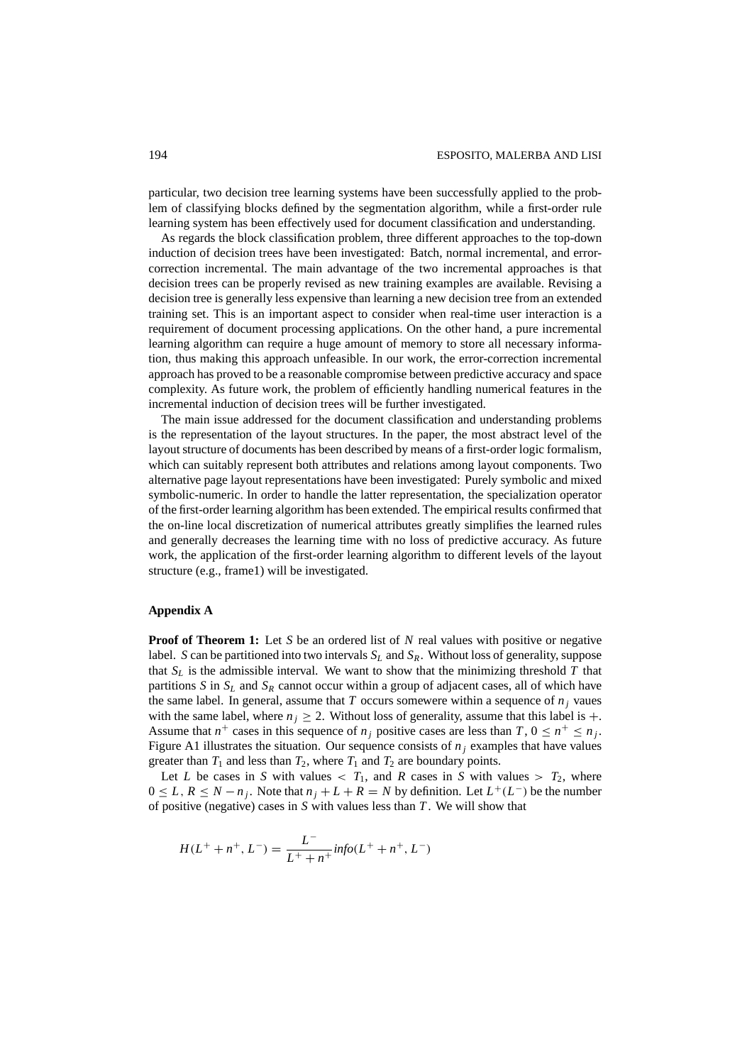particular, two decision tree learning systems have been successfully applied to the problem of classifying blocks defined by the segmentation algorithm, while a first-order rule learning system has been effectively used for document classification and understanding.

As regards the block classification problem, three different approaches to the top-down induction of decision trees have been investigated: Batch, normal incremental, and errorcorrection incremental. The main advantage of the two incremental approaches is that decision trees can be properly revised as new training examples are available. Revising a decision tree is generally less expensive than learning a new decision tree from an extended training set. This is an important aspect to consider when real-time user interaction is a requirement of document processing applications. On the other hand, a pure incremental learning algorithm can require a huge amount of memory to store all necessary information, thus making this approach unfeasible. In our work, the error-correction incremental approach has proved to be a reasonable compromise between predictive accuracy and space complexity. As future work, the problem of efficiently handling numerical features in the incremental induction of decision trees will be further investigated.

The main issue addressed for the document classification and understanding problems is the representation of the layout structures. In the paper, the most abstract level of the layout structure of documents has been described by means of a first-order logic formalism, which can suitably represent both attributes and relations among layout components. Two alternative page layout representations have been investigated: Purely symbolic and mixed symbolic-numeric. In order to handle the latter representation, the specialization operator of the first-order learning algorithm has been extended. The empirical results confirmed that the on-line local discretization of numerical attributes greatly simplifies the learned rules and generally decreases the learning time with no loss of predictive accuracy. As future work, the application of the first-order learning algorithm to different levels of the layout structure (e.g., frame1) will be investigated.

# **Appendix A**

**Proof of Theorem 1:** Let *S* be an ordered list of *N* real values with positive or negative label. *S* can be partitioned into two intervals  $S_L$  and  $S_R$ . Without loss of generality, suppose that  $S_L$  is the admissible interval. We want to show that the minimizing threshold  $T$  that partitions *S* in  $S_L$  and  $S_R$  cannot occur within a group of adjacent cases, all of which have the same label. In general, assume that *T* occurs somewere within a sequence of  $n_i$  vaues with the same label, where  $n_j \geq 2$ . Without loss of generality, assume that this label is +. Assume that  $n^+$  cases in this sequence of  $n_j$  positive cases are less than  $T$ ,  $0 \le n^+ \le n_j$ . Figure A1 illustrates the situation. Our sequence consists of  $n_i$  examples that have values greater than  $T_1$  and less than  $T_2$ , where  $T_1$  and  $T_2$  are boundary points.

Let *L* be cases in *S* with values  $\langle T_1, \text{ and } R \text{ cases in } S \text{ with values } \rangle T_2$ , where  $0 ≤ L, R ≤ N − n<sub>j</sub>$ . Note that  $n<sub>j</sub> + L + R = N$  by definition. Let  $L<sup>+</sup>(L<sup>-</sup>)$  be the number of positive (negative) cases in *S* with values less than *T* . We will show that

$$
H(L^{+} + n^{+}, L^{-}) = \frac{L^{-}}{L^{+} + n^{+}} info(L^{+} + n^{+}, L^{-})
$$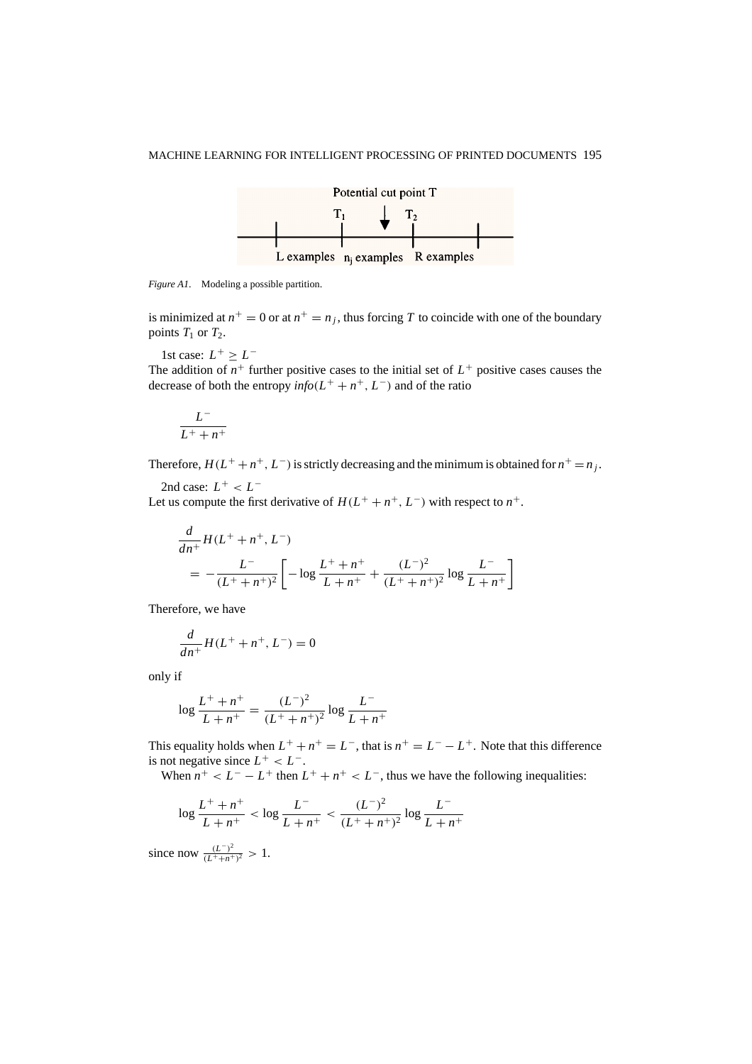

*Figure A1*. Modeling a possible partition.

is minimized at  $n^+ = 0$  or at  $n^+ = n_j$ , thus forcing *T* to coincide with one of the boundary points  $T_1$  or  $T_2$ .

1st case:  $L^+ \geq L^-$ 

The addition of  $n^+$  further positive cases to the initial set of  $L^+$  positive cases causes the decrease of both the entropy  $info(L^+ + n^+, L^-)$  and of the ratio

$$
\frac{L^-}{L^+ + n^+}
$$

Therefore,  $H(L^+ + n^+, L^-)$  is strictly decreasing and the minimum is obtained for  $n^+ = n_j$ .

2nd case:  $L^+ < L^-$ Let us compute the first derivative of  $H(L^+ + n^+, L^-)$  with respect to  $n^+$ .

$$
\frac{d}{dn^+}H(L^+ + n^+, L^-)
$$
\n
$$
= -\frac{L^-}{(L^+ + n^+)^2} \left[ -\log \frac{L^+ + n^+}{L + n^+} + \frac{(L^-)^2}{(L^+ + n^+)^2} \log \frac{L^-}{L + n^+} \right]
$$

Therefore, we have

$$
\frac{d}{dn^+}H(L^+ + n^+, L^-) = 0
$$

only if

$$
\log \frac{L^+ + n^+}{L + n^+} = \frac{(L^-)^2}{(L^+ + n^+)^2} \log \frac{L^-}{L + n^+}
$$

This equality holds when  $L^+ + n^+ = L^-$ , that is  $n^+ = L^- - L^+$ . Note that this difference is not negative since  $L^+ < L^-$ .

When  $n^+ < L^- - L^+$  then  $L^+ + n^+ < L^-$ , thus we have the following inequalities:

$$
\log \frac{L^+ + n^+}{L + n^+} < \log \frac{L^-}{L + n^+} < \frac{(L^-)^2}{(L^+ + n^+)^2} \log \frac{L^-}{L + n^+}
$$

since now  $\frac{(L^{-})^2}{(L^{+}+n^{+})^2} > 1$ .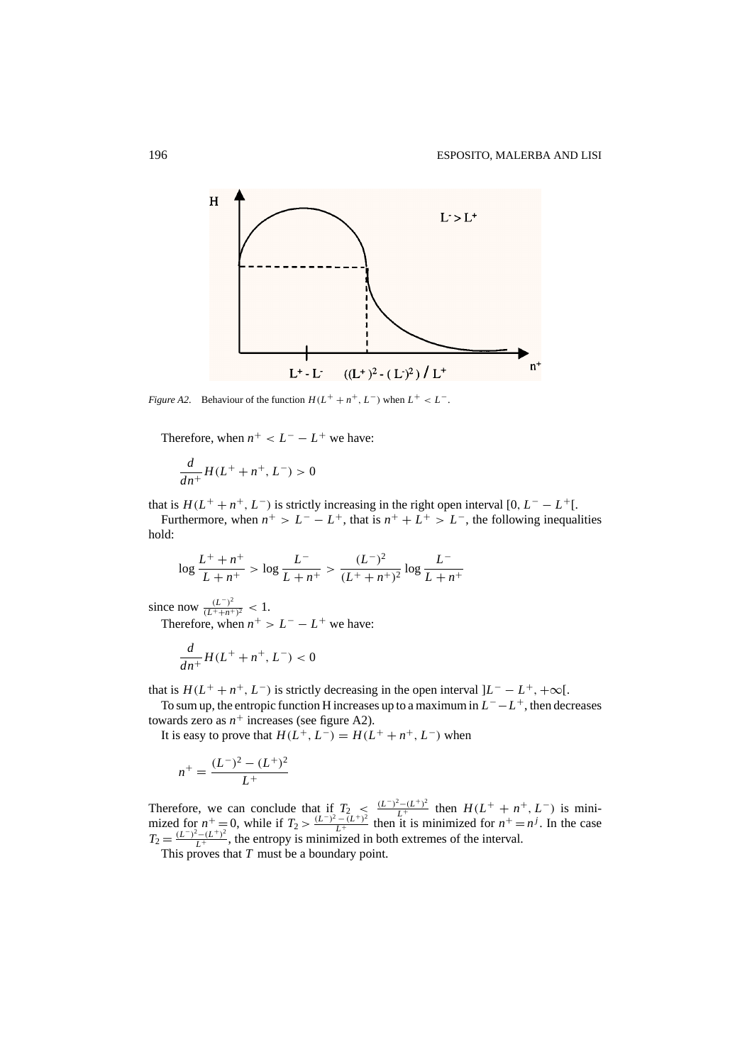

*Figure A2.* Behaviour of the function  $H(L^+ + n^+, L^-)$  when  $L^+ < L^-$ .

Therefore, when  $n^+ < L^- - L^+$  we have:

$$
\frac{d}{dn^{+}}H(L^{+}+n^{+},L^{-})>0
$$

that is  $H(L^+ + n^+, L^-)$  is strictly increasing in the right open interval [0,  $L^- - L^+$ ].

Furthermore, when  $n^+ > L^- - L^+$ , that is  $n^+ + L^+ > L^-$ , the following inequalities hold:

$$
\log \frac{L^+ + n^+}{L + n^+} > \log \frac{L^-}{L + n^+} > \frac{(L^-)^2}{(L^+ + n^+)^2} \log \frac{L^-}{L + n^+}
$$

since now  $\frac{(L^{-})^2}{(L^{+}+n^{+})^2} < 1$ . Therefore, when  $n^+ > L^- - L^+$  we have:

$$
\frac{d}{dn^{+}}H(L^{+}+n^{+},L^{-})<0
$$

that is  $H(L^+ + n^+, L^-)$  is strictly decreasing in the open interval  $|L^- - L^+, +\infty|$ .

To sum up, the entropic function H increases up to a maximum in *L*−−*L*+, then decreases towards zero as  $n^+$  increases (see figure A2).

It is easy to prove that  $H(L^+, L^-) = H(L^+ + n^+, L^-)$  when

$$
n^{+} = \frac{(L^{-})^{2} - (L^{+})^{2}}{L^{+}}
$$

Therefore, we can conclude that if  $T_2 \leq \frac{(L^{-2})^2 - (L^{+})^2}{L^{+}}$  then  $H(L^{+} + n^{+}, L^{-})$  is minimized for  $n^+ = 0$ , while if  $T_2 > \frac{(L^-)^2 - (L^+)^2}{L^+}$  then it is minimized for  $n^+ = n^j$ . In the case  $T_2 = \frac{(L^{-1})^2 - (L^{+1})^2}{L^{+}}$ , the entropy is minimized in both extremes of the interval.

This proves that *T* must be a boundary point.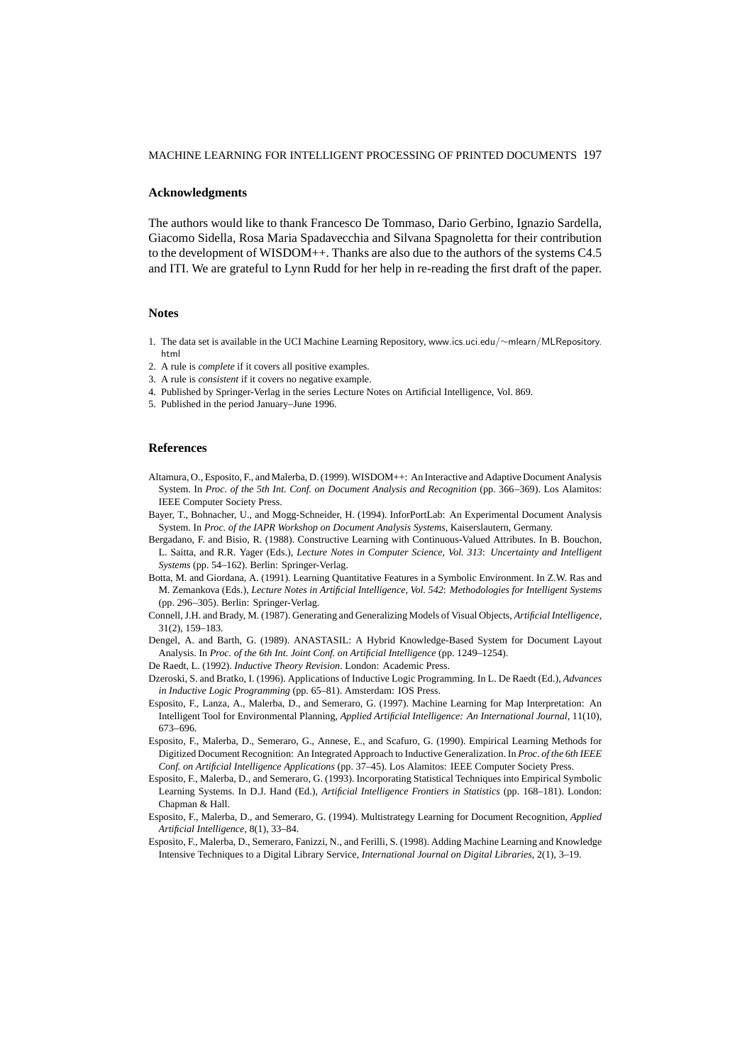#### MACHINE LEARNING FOR INTELLIGENT PROCESSING OF PRINTED DOCUMENTS 197

#### **Acknowledgments**

The authors would like to thank Francesco De Tommaso, Dario Gerbino, Ignazio Sardella, Giacomo Sidella, Rosa Maria Spadavecchia and Silvana Spagnoletta for their contribution to the development of WISDOM++. Thanks are also due to the authors of the systems C4.5 and ITI. We are grateful to Lynn Rudd for her help in re-reading the first draft of the paper.

# **Notes**

- 1. The data set is available in the UCI Machine Learning Repository, www.ics.uci.edu/∼mlearn/MLRepository. html
- 2. A rule is *complete* if it covers all positive examples.
- 3. A rule is *consistent* if it covers no negative example.
- 4. Published by Springer-Verlag in the series Lecture Notes on Artificial Intelligence, Vol. 869.
- 5. Published in the period January–June 1996.

#### **References**

- Altamura, O., Esposito, F., and Malerba, D. (1999). WISDOM++: An Interactive and Adaptive Document Analysis System. In *Proc. of the 5th Int. Conf. on Document Analysis and Recognition* (pp. 366–369). Los Alamitos: IEEE Computer Society Press.
- Bayer, T., Bohnacher, U., and Mogg-Schneider, H. (1994). InforPortLab: An Experimental Document Analysis System. In *Proc. of the IAPR Workshop on Document Analysis Systems*, Kaiserslautern, Germany.
- Bergadano, F. and Bisio, R. (1988). Constructive Learning with Continuous-Valued Attributes. In B. Bouchon, L. Saitta, and R.R. Yager (Eds.), *Lecture Notes in Computer Science, Vol. 313*: *Uncertainty and Intelligent Systems* (pp. 54–162). Berlin: Springer-Verlag.
- Botta, M. and Giordana, A. (1991). Learning Quantitative Features in a Symbolic Environment. In Z.W. Ras and M. Zemankova (Eds.), *Lecture Notes in Artificial Intelligence, Vol. 542*: *Methodologies for Intelligent Systems* (pp. 296–305). Berlin: Springer-Verlag.
- Connell, J.H. and Brady, M. (1987). Generating and Generalizing Models of Visual Objects, *Artificial Intelligence*, 31(2), 159–183.
- Dengel, A. and Barth, G. (1989). ANASTASIL: A Hybrid Knowledge-Based System for Document Layout Analysis. In *Proc. of the 6th Int. Joint Conf. on Artificial Intelligence* (pp. 1249–1254).
- De Raedt, L. (1992). *Inductive Theory Revision*. London: Academic Press.
- Dzeroski, S. and Bratko, I. (1996). Applications of Inductive Logic Programming. In L. De Raedt (Ed.), *Advances in Inductive Logic Programming* (pp. 65–81). Amsterdam: IOS Press.
- Esposito, F., Lanza, A., Malerba, D., and Semeraro, G. (1997). Machine Learning for Map Interpretation: An Intelligent Tool for Environmental Planning, *Applied Artificial Intelligence: An International Journal*, 11(10), 673–696.
- Esposito, F., Malerba, D., Semeraro, G., Annese, E., and Scafuro, G. (1990). Empirical Learning Methods for Digitized Document Recognition: An Integrated Approach to Inductive Generalization. In *Proc. of the 6th IEEE Conf. on Artificial Intelligence Applications* (pp. 37–45). Los Alamitos: IEEE Computer Society Press.
- Esposito, F., Malerba, D., and Semeraro, G. (1993). Incorporating Statistical Techniques into Empirical Symbolic Learning Systems. In D.J. Hand (Ed.), *Artificial Intelligence Frontiers in Statistics* (pp. 168–181). London: Chapman & Hall.
- Esposito, F., Malerba, D., and Semeraro, G. (1994). Multistrategy Learning for Document Recognition, *Applied Artificial Intelligence*, 8(1), 33–84.
- Esposito, F., Malerba, D., Semeraro, Fanizzi, N., and Ferilli, S. (1998). Adding Machine Learning and Knowledge Intensive Techniques to a Digital Library Service, *International Journal on Digital Libraries*, 2(1), 3–19.